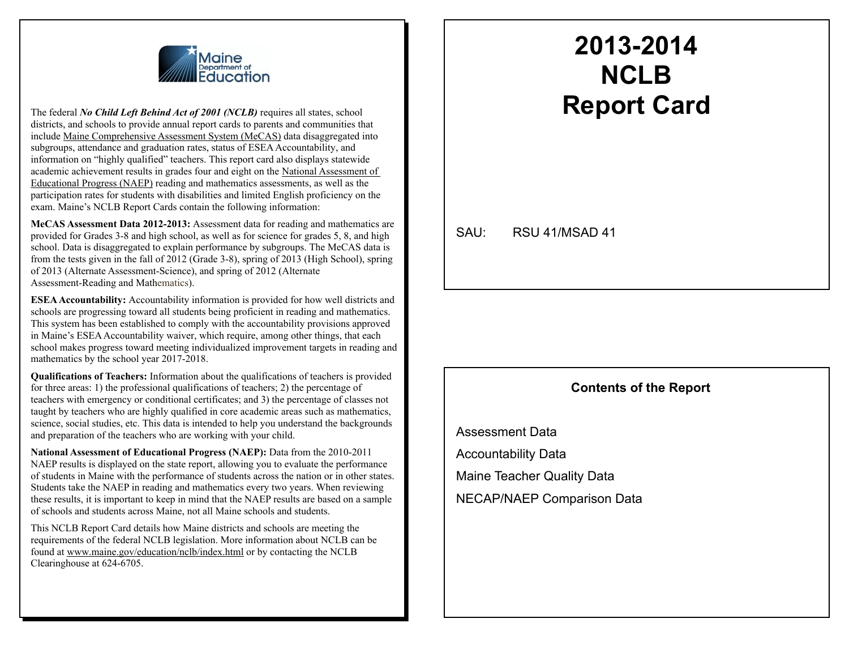

The federal *No Child Left Behind Act of 2001 (NCLB)* requires all states, school districts, and schools to provide annual report cards to parents and communities that include Maine Comprehensive Assessment System (MeCAS) data disaggregated into subgroups, attendance and graduation rates, status of ESEA Accountability, and information on "highly qualified" teachers. This report card also displays statewide academic achievement results in grades four and eight on the National Assessment of Educational Progress (NAEP) reading and mathematics assessments, as well as the participation rates for students with disabilities and limited English proficiency on the exam. Maine's NCLB Report Cards contain the following information:

**MeCAS Assessment Data 2012-2013:** Assessment data for reading and mathematics are provided for Grades 3-8 and high school, as well as for science for grades 5, 8, and high school. Data is disaggregated to explain performance by subgroups. The MeCAS data is from the tests given in the fall of 2012 (Grade 3-8), spring of 2013 (High School), spring of 2013 (Alternate Assessment-Science), and spring of 2012 (Alternate Assessment-Reading and Mathematics).

**ESEA Accountability:** Accountability information is provided for how well districts and schools are progressing toward all students being proficient in reading and mathematics. This system has been established to comply with the accountability provisions approved in Maine's ESEA Accountability waiver, which require, among other things, that each school makes progress toward meeting individualized improvement targets in reading and mathematics by the school year 2017-2018.

**Qualifications of Teachers:** Information about the qualifications of teachers is provided for three areas: 1) the professional qualifications of teachers; 2) the percentage of teachers with emergency or conditional certificates; and 3) the percentage of classes not taught by teachers who are highly qualified in core academic areas such as mathematics, science, social studies, etc. This data is intended to help you understand the backgrounds and preparation of the teachers who are working with your child.

**National Assessment of Educational Progress (NAEP):** Data from the 2010-2011 NAEP results is displayed on the state report, allowing you to evaluate the performance of students in Maine with the performance of students across the nation or in other states. Students take the NAEP in reading and mathematics every two years. When reviewing these results, it is important to keep in mind that the NAEP results are based on a sample of schools and students across Maine, not all Maine schools and students.

This NCLB Report Card details how Maine districts and schools are meeting the requirements of the federal NCLB legislation. More information about NCLB can be found at www.maine.gov/education/nclb/index.html or by contacting the NCLB Clearinghouse at 624-6705.

## **2013-2014 NCLB Report Card**

SAU: RSU 41/MSAD 41

#### **Contents of the Report**

Assessment Data Accountability Data Maine Teacher Quality Data NECAP/NAEP Comparison Data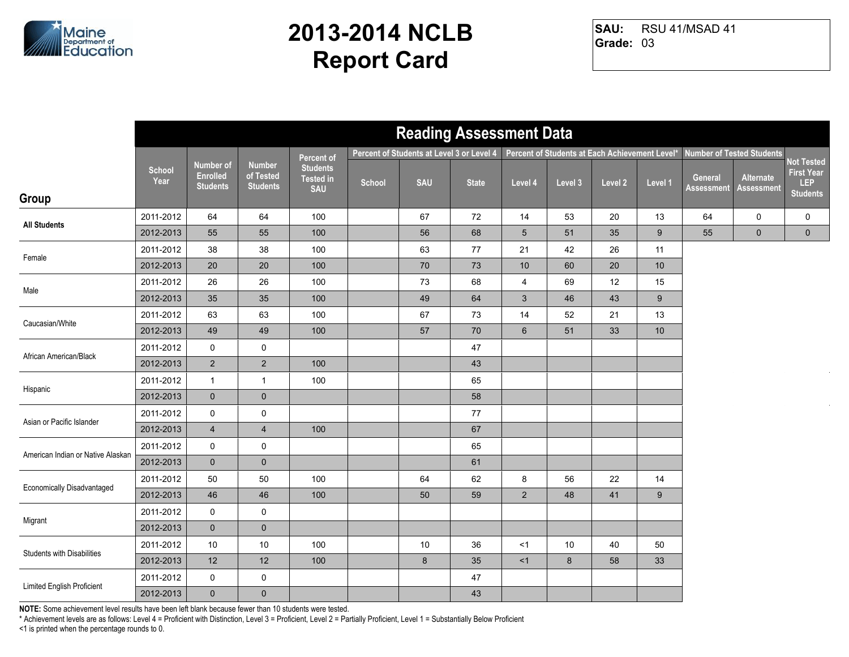

RSU 41/MSAD 41 **Grade:** 03 **SAU:**

|                                   |                       |                                                        |                                               |                                                   |        | <b>Reading Assessment Data</b>            |              |                 |                                                |         |         |                              |                                  |                                                           |
|-----------------------------------|-----------------------|--------------------------------------------------------|-----------------------------------------------|---------------------------------------------------|--------|-------------------------------------------|--------------|-----------------|------------------------------------------------|---------|---------|------------------------------|----------------------------------|-----------------------------------------------------------|
|                                   |                       |                                                        |                                               | Percent of                                        |        | Percent of Students at Level 3 or Level 4 |              |                 | Percent of Students at Each Achievement Level* |         |         |                              | <b>Number of Tested Students</b> |                                                           |
|                                   | <b>School</b><br>Year | <b>Number of</b><br><b>Enrolled</b><br><b>Students</b> | <b>Number</b><br>of Tested<br><b>Students</b> | <b>Students</b><br><b>Tested in</b><br><b>SAU</b> | School | <b>SAU</b>                                | <b>State</b> | Level 4         | Level 3                                        | Level 2 | Level 1 | General<br><b>Assessment</b> | Alternate<br><b>Assessment</b>   | Not Tested<br><b>First Year</b><br>LEP<br><b>Students</b> |
| Group                             |                       |                                                        |                                               |                                                   |        |                                           |              |                 |                                                |         |         |                              |                                  |                                                           |
| <b>All Students</b>               | 2011-2012             | 64                                                     | 64                                            | 100                                               |        | 67                                        | 72           | 14              | 53                                             | 20      | 13      | 64                           | 0                                | 0                                                         |
|                                   | 2012-2013             | 55                                                     | 55                                            | 100                                               |        | 56                                        | 68           | $5\phantom{.0}$ | 51                                             | 35      | 9       | 55                           | $\mathbf 0$                      | $\mathbf 0$                                               |
| Female                            | 2011-2012             | 38                                                     | 38                                            | 100                                               |        | 63                                        | 77           | 21              | 42                                             | 26      | 11      |                              |                                  |                                                           |
|                                   | 2012-2013             | 20                                                     | 20                                            | 100                                               |        | 70                                        | 73           | 10              | 60                                             | 20      | 10      |                              |                                  |                                                           |
| Male                              | 2011-2012             | 26                                                     | 26                                            | 100                                               |        | 73                                        | 68           | $\overline{4}$  | 69                                             | 12      | 15      |                              |                                  |                                                           |
|                                   | 2012-2013             | 35                                                     | 35                                            | 100                                               |        | 49                                        | 64           | $\mathbf{3}$    | 46                                             | 43      | 9       |                              |                                  |                                                           |
| Caucasian/White                   | 2011-2012             | 63                                                     | 63                                            | 100                                               |        | 67                                        | 73           | 14              | 52                                             | 21      | 13      |                              |                                  |                                                           |
|                                   | 2012-2013             | 49                                                     | 49                                            | 100                                               |        | 57                                        | $70\,$       | $6\phantom{1}$  | 51                                             | 33      | $10$    |                              |                                  |                                                           |
| African American/Black            | 2011-2012             | 0                                                      | $\mathbf 0$                                   |                                                   |        |                                           | 47           |                 |                                                |         |         |                              |                                  |                                                           |
|                                   | 2012-2013             | $\overline{2}$                                         | $\sqrt{2}$                                    | 100                                               |        |                                           | 43           |                 |                                                |         |         |                              |                                  |                                                           |
|                                   | 2011-2012             | $\mathbf{1}$                                           | $\mathbf{1}$                                  | 100                                               |        |                                           | 65           |                 |                                                |         |         |                              |                                  |                                                           |
| Hispanic                          | 2012-2013             | $\mathbf{0}$                                           | $\pmb{0}$                                     |                                                   |        |                                           | 58           |                 |                                                |         |         |                              |                                  |                                                           |
| Asian or Pacific Islander         | 2011-2012             | 0                                                      | $\pmb{0}$                                     |                                                   |        |                                           | $77\,$       |                 |                                                |         |         |                              |                                  |                                                           |
|                                   | 2012-2013             | $\overline{4}$                                         | $\overline{4}$                                | 100                                               |        |                                           | 67           |                 |                                                |         |         |                              |                                  |                                                           |
| American Indian or Native Alaskan | 2011-2012             | 0                                                      | 0                                             |                                                   |        |                                           | 65           |                 |                                                |         |         |                              |                                  |                                                           |
|                                   | 2012-2013             | $\mathbf{0}$                                           | $\mathbf 0$                                   |                                                   |        |                                           | 61           |                 |                                                |         |         |                              |                                  |                                                           |
| <b>Economically Disadvantaged</b> | 2011-2012             | $50\,$                                                 | 50                                            | 100                                               |        | 64                                        | 62           | 8               | 56                                             | 22      | 14      |                              |                                  |                                                           |
|                                   | 2012-2013             | 46                                                     | 46                                            | 100                                               |        | 50                                        | 59           | $\overline{2}$  | 48                                             | 41      | 9       |                              |                                  |                                                           |
| Migrant                           | 2011-2012             | 0                                                      | $\mathbf 0$                                   |                                                   |        |                                           |              |                 |                                                |         |         |                              |                                  |                                                           |
|                                   | 2012-2013             | $\mathbf 0$                                            | $\pmb{0}$                                     |                                                   |        |                                           |              |                 |                                                |         |         |                              |                                  |                                                           |
| <b>Students with Disabilities</b> | 2011-2012             | 10                                                     | $10$                                          | 100                                               |        | 10                                        | 36           | <1              | 10                                             | 40      | 50      |                              |                                  |                                                           |
|                                   | 2012-2013             | 12                                                     | 12                                            | 100                                               |        | 8                                         | 35           | <1              | 8                                              | 58      | 33      |                              |                                  |                                                           |
|                                   | 2011-2012             | 0                                                      | 0                                             |                                                   |        |                                           | 47           |                 |                                                |         |         |                              |                                  |                                                           |
| Limited English Proficient        | 2012-2013             | $\mathbf{0}$                                           | $\pmb{0}$                                     |                                                   |        |                                           | 43           |                 |                                                |         |         |                              |                                  |                                                           |

**NOTE:** Some achievement level results have been left blank because fewer than 10 students were tested.

\* Achievement levels are as follows: Level 4 = Proficient with Distinction, Level 3 = Proficient, Level 2 = Partially Proficient, Level 1 = Substantially Below Proficient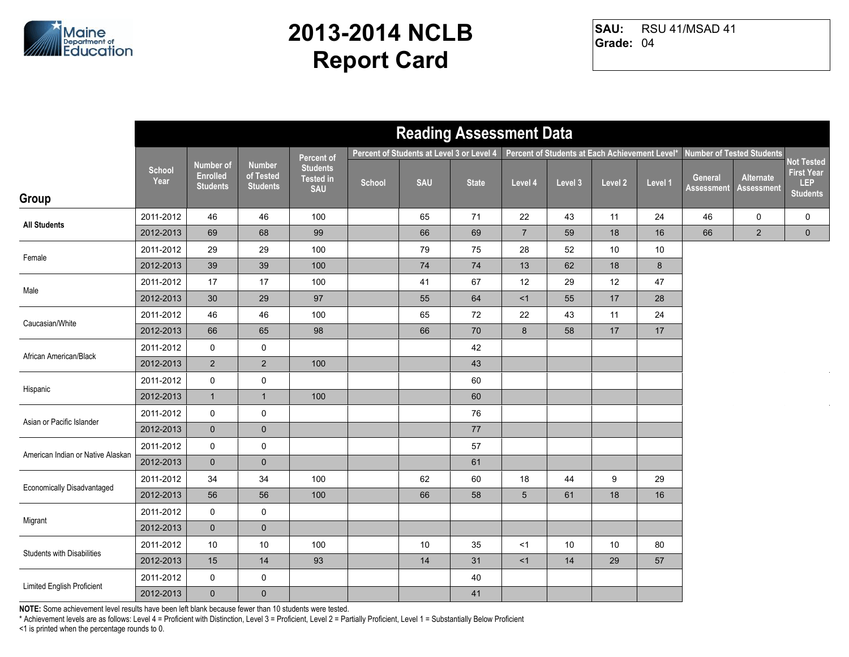

RSU 41/MSAD 41 **Grade:** 04 **SAU:**

| Percent of Students at Level 3 or Level 4<br>Percent of Students at Each Achievement Level*<br><b>Number of Tested Students</b><br>Percent of<br>Not Tested<br><b>Number of</b><br><b>Number</b><br><b>Students</b><br><b>School</b><br><b>First Year</b><br><b>Enrolled</b><br>of Tested<br>Alternate<br>General<br><b>Tested in</b><br>Year<br><b>SAU</b><br>School<br>Level 2<br>Level 1<br><b>State</b><br>Level 4<br>Level 3<br>LEP<br><b>Students</b><br><b>Students</b><br><b>SAU</b><br><b>Assessment</b><br><b>Assessment</b><br><b>Students</b><br>Group<br>2011-2012<br>46<br>46<br>100<br>24<br>65<br>71<br>22<br>43<br>11<br>46<br>0<br>0<br><b>All Students</b><br>$\overline{7}$<br>69<br>68<br>99<br>18<br>16<br>66<br>$\overline{2}$<br>$\mathbf 0$<br>2012-2013<br>66<br>69<br>59<br>2011-2012<br>29<br>29<br>100<br>75<br>$10$<br>$10$<br>79<br>28<br>52<br>Female<br>$\bf 8$<br>39<br>$\bf 74$<br>$74$<br>13<br>62<br>2012-2013<br>39<br>100<br>18<br>2011-2012<br>12<br>17<br>17<br>100<br>41<br>67<br>29<br>12<br>47<br>Male<br>$30\,$<br>29<br>97<br>64<br><1<br>55<br>17<br>28<br>2012-2013<br>55<br>2011-2012<br>46<br>46<br>24<br>100<br>65<br>72<br>22<br>43<br>11<br>Caucasian/White<br>$8\phantom{1}$<br>2012-2013<br>66<br>65<br>98<br>66<br>70<br>58<br>17<br>17<br>2011-2012<br>0<br>$\mathbf 0$<br>42<br>African American/Black<br>$\overline{2}$<br>$\sqrt{2}$<br>2012-2013<br>100<br>43<br>2011-2012<br>$\mathsf{O}$<br>$\pmb{0}$<br>60<br>Hispanic<br>2012-2013<br>$\mathbf{1}$<br>100<br>60<br>$\mathbf{1}$<br>2011-2012<br>0<br>$\pmb{0}$<br>76<br>Asian or Pacific Islander<br>$\mathbf{0}$<br>$\pmb{0}$<br>77<br>2012-2013<br>2011-2012<br>$\mathsf{O}$<br>0<br>57<br>American Indian or Native Alaskan<br>2012-2013<br>$\mathbf{0}$<br>$\mathbf 0$<br>61<br>34<br>34<br>2011-2012<br>100<br>62<br>60<br>18<br>44<br>9<br>29<br><b>Economically Disadvantaged</b><br>2012-2013<br>56<br>100<br>66<br>$5\phantom{.0}$<br>18<br>16<br>56<br>58<br>61<br>2011-2012<br>0<br>$\mathbf 0$<br>Migrant<br>$\pmb{0}$<br>2012-2013<br>$\mathbf 0$<br>2011-2012<br>10<br>$10$<br>100<br>10<br>35<br><1<br>10<br>10<br>80<br><b>Students with Disabilities</b><br>93<br>57<br>2012-2013<br>15<br>14<br>14<br>31<br><1<br>14<br>29<br>2011-2012<br>0<br>0<br>40<br>Limited English Proficient<br>$\pmb{0}$<br>$\mathbf{0}$<br>41<br>2012-2013 |  |  |  | <b>Reading Assessment Data</b> |  |  |  |  |
|--------------------------------------------------------------------------------------------------------------------------------------------------------------------------------------------------------------------------------------------------------------------------------------------------------------------------------------------------------------------------------------------------------------------------------------------------------------------------------------------------------------------------------------------------------------------------------------------------------------------------------------------------------------------------------------------------------------------------------------------------------------------------------------------------------------------------------------------------------------------------------------------------------------------------------------------------------------------------------------------------------------------------------------------------------------------------------------------------------------------------------------------------------------------------------------------------------------------------------------------------------------------------------------------------------------------------------------------------------------------------------------------------------------------------------------------------------------------------------------------------------------------------------------------------------------------------------------------------------------------------------------------------------------------------------------------------------------------------------------------------------------------------------------------------------------------------------------------------------------------------------------------------------------------------------------------------------------------------------------------------------------------------------------------------------------------------------------------------------------------------------------------------------------------------------------------------------------------------------------------------------------------------------------------------------------------------------------------------------------------------|--|--|--|--------------------------------|--|--|--|--|
|                                                                                                                                                                                                                                                                                                                                                                                                                                                                                                                                                                                                                                                                                                                                                                                                                                                                                                                                                                                                                                                                                                                                                                                                                                                                                                                                                                                                                                                                                                                                                                                                                                                                                                                                                                                                                                                                                                                                                                                                                                                                                                                                                                                                                                                                                                                                                                          |  |  |  |                                |  |  |  |  |
|                                                                                                                                                                                                                                                                                                                                                                                                                                                                                                                                                                                                                                                                                                                                                                                                                                                                                                                                                                                                                                                                                                                                                                                                                                                                                                                                                                                                                                                                                                                                                                                                                                                                                                                                                                                                                                                                                                                                                                                                                                                                                                                                                                                                                                                                                                                                                                          |  |  |  |                                |  |  |  |  |
|                                                                                                                                                                                                                                                                                                                                                                                                                                                                                                                                                                                                                                                                                                                                                                                                                                                                                                                                                                                                                                                                                                                                                                                                                                                                                                                                                                                                                                                                                                                                                                                                                                                                                                                                                                                                                                                                                                                                                                                                                                                                                                                                                                                                                                                                                                                                                                          |  |  |  |                                |  |  |  |  |
|                                                                                                                                                                                                                                                                                                                                                                                                                                                                                                                                                                                                                                                                                                                                                                                                                                                                                                                                                                                                                                                                                                                                                                                                                                                                                                                                                                                                                                                                                                                                                                                                                                                                                                                                                                                                                                                                                                                                                                                                                                                                                                                                                                                                                                                                                                                                                                          |  |  |  |                                |  |  |  |  |
|                                                                                                                                                                                                                                                                                                                                                                                                                                                                                                                                                                                                                                                                                                                                                                                                                                                                                                                                                                                                                                                                                                                                                                                                                                                                                                                                                                                                                                                                                                                                                                                                                                                                                                                                                                                                                                                                                                                                                                                                                                                                                                                                                                                                                                                                                                                                                                          |  |  |  |                                |  |  |  |  |
|                                                                                                                                                                                                                                                                                                                                                                                                                                                                                                                                                                                                                                                                                                                                                                                                                                                                                                                                                                                                                                                                                                                                                                                                                                                                                                                                                                                                                                                                                                                                                                                                                                                                                                                                                                                                                                                                                                                                                                                                                                                                                                                                                                                                                                                                                                                                                                          |  |  |  |                                |  |  |  |  |
|                                                                                                                                                                                                                                                                                                                                                                                                                                                                                                                                                                                                                                                                                                                                                                                                                                                                                                                                                                                                                                                                                                                                                                                                                                                                                                                                                                                                                                                                                                                                                                                                                                                                                                                                                                                                                                                                                                                                                                                                                                                                                                                                                                                                                                                                                                                                                                          |  |  |  |                                |  |  |  |  |
|                                                                                                                                                                                                                                                                                                                                                                                                                                                                                                                                                                                                                                                                                                                                                                                                                                                                                                                                                                                                                                                                                                                                                                                                                                                                                                                                                                                                                                                                                                                                                                                                                                                                                                                                                                                                                                                                                                                                                                                                                                                                                                                                                                                                                                                                                                                                                                          |  |  |  |                                |  |  |  |  |
|                                                                                                                                                                                                                                                                                                                                                                                                                                                                                                                                                                                                                                                                                                                                                                                                                                                                                                                                                                                                                                                                                                                                                                                                                                                                                                                                                                                                                                                                                                                                                                                                                                                                                                                                                                                                                                                                                                                                                                                                                                                                                                                                                                                                                                                                                                                                                                          |  |  |  |                                |  |  |  |  |
|                                                                                                                                                                                                                                                                                                                                                                                                                                                                                                                                                                                                                                                                                                                                                                                                                                                                                                                                                                                                                                                                                                                                                                                                                                                                                                                                                                                                                                                                                                                                                                                                                                                                                                                                                                                                                                                                                                                                                                                                                                                                                                                                                                                                                                                                                                                                                                          |  |  |  |                                |  |  |  |  |
|                                                                                                                                                                                                                                                                                                                                                                                                                                                                                                                                                                                                                                                                                                                                                                                                                                                                                                                                                                                                                                                                                                                                                                                                                                                                                                                                                                                                                                                                                                                                                                                                                                                                                                                                                                                                                                                                                                                                                                                                                                                                                                                                                                                                                                                                                                                                                                          |  |  |  |                                |  |  |  |  |
|                                                                                                                                                                                                                                                                                                                                                                                                                                                                                                                                                                                                                                                                                                                                                                                                                                                                                                                                                                                                                                                                                                                                                                                                                                                                                                                                                                                                                                                                                                                                                                                                                                                                                                                                                                                                                                                                                                                                                                                                                                                                                                                                                                                                                                                                                                                                                                          |  |  |  |                                |  |  |  |  |
|                                                                                                                                                                                                                                                                                                                                                                                                                                                                                                                                                                                                                                                                                                                                                                                                                                                                                                                                                                                                                                                                                                                                                                                                                                                                                                                                                                                                                                                                                                                                                                                                                                                                                                                                                                                                                                                                                                                                                                                                                                                                                                                                                                                                                                                                                                                                                                          |  |  |  |                                |  |  |  |  |
|                                                                                                                                                                                                                                                                                                                                                                                                                                                                                                                                                                                                                                                                                                                                                                                                                                                                                                                                                                                                                                                                                                                                                                                                                                                                                                                                                                                                                                                                                                                                                                                                                                                                                                                                                                                                                                                                                                                                                                                                                                                                                                                                                                                                                                                                                                                                                                          |  |  |  |                                |  |  |  |  |
|                                                                                                                                                                                                                                                                                                                                                                                                                                                                                                                                                                                                                                                                                                                                                                                                                                                                                                                                                                                                                                                                                                                                                                                                                                                                                                                                                                                                                                                                                                                                                                                                                                                                                                                                                                                                                                                                                                                                                                                                                                                                                                                                                                                                                                                                                                                                                                          |  |  |  |                                |  |  |  |  |
|                                                                                                                                                                                                                                                                                                                                                                                                                                                                                                                                                                                                                                                                                                                                                                                                                                                                                                                                                                                                                                                                                                                                                                                                                                                                                                                                                                                                                                                                                                                                                                                                                                                                                                                                                                                                                                                                                                                                                                                                                                                                                                                                                                                                                                                                                                                                                                          |  |  |  |                                |  |  |  |  |
|                                                                                                                                                                                                                                                                                                                                                                                                                                                                                                                                                                                                                                                                                                                                                                                                                                                                                                                                                                                                                                                                                                                                                                                                                                                                                                                                                                                                                                                                                                                                                                                                                                                                                                                                                                                                                                                                                                                                                                                                                                                                                                                                                                                                                                                                                                                                                                          |  |  |  |                                |  |  |  |  |
|                                                                                                                                                                                                                                                                                                                                                                                                                                                                                                                                                                                                                                                                                                                                                                                                                                                                                                                                                                                                                                                                                                                                                                                                                                                                                                                                                                                                                                                                                                                                                                                                                                                                                                                                                                                                                                                                                                                                                                                                                                                                                                                                                                                                                                                                                                                                                                          |  |  |  |                                |  |  |  |  |
|                                                                                                                                                                                                                                                                                                                                                                                                                                                                                                                                                                                                                                                                                                                                                                                                                                                                                                                                                                                                                                                                                                                                                                                                                                                                                                                                                                                                                                                                                                                                                                                                                                                                                                                                                                                                                                                                                                                                                                                                                                                                                                                                                                                                                                                                                                                                                                          |  |  |  |                                |  |  |  |  |
|                                                                                                                                                                                                                                                                                                                                                                                                                                                                                                                                                                                                                                                                                                                                                                                                                                                                                                                                                                                                                                                                                                                                                                                                                                                                                                                                                                                                                                                                                                                                                                                                                                                                                                                                                                                                                                                                                                                                                                                                                                                                                                                                                                                                                                                                                                                                                                          |  |  |  |                                |  |  |  |  |
|                                                                                                                                                                                                                                                                                                                                                                                                                                                                                                                                                                                                                                                                                                                                                                                                                                                                                                                                                                                                                                                                                                                                                                                                                                                                                                                                                                                                                                                                                                                                                                                                                                                                                                                                                                                                                                                                                                                                                                                                                                                                                                                                                                                                                                                                                                                                                                          |  |  |  |                                |  |  |  |  |
|                                                                                                                                                                                                                                                                                                                                                                                                                                                                                                                                                                                                                                                                                                                                                                                                                                                                                                                                                                                                                                                                                                                                                                                                                                                                                                                                                                                                                                                                                                                                                                                                                                                                                                                                                                                                                                                                                                                                                                                                                                                                                                                                                                                                                                                                                                                                                                          |  |  |  |                                |  |  |  |  |
|                                                                                                                                                                                                                                                                                                                                                                                                                                                                                                                                                                                                                                                                                                                                                                                                                                                                                                                                                                                                                                                                                                                                                                                                                                                                                                                                                                                                                                                                                                                                                                                                                                                                                                                                                                                                                                                                                                                                                                                                                                                                                                                                                                                                                                                                                                                                                                          |  |  |  |                                |  |  |  |  |
|                                                                                                                                                                                                                                                                                                                                                                                                                                                                                                                                                                                                                                                                                                                                                                                                                                                                                                                                                                                                                                                                                                                                                                                                                                                                                                                                                                                                                                                                                                                                                                                                                                                                                                                                                                                                                                                                                                                                                                                                                                                                                                                                                                                                                                                                                                                                                                          |  |  |  |                                |  |  |  |  |
|                                                                                                                                                                                                                                                                                                                                                                                                                                                                                                                                                                                                                                                                                                                                                                                                                                                                                                                                                                                                                                                                                                                                                                                                                                                                                                                                                                                                                                                                                                                                                                                                                                                                                                                                                                                                                                                                                                                                                                                                                                                                                                                                                                                                                                                                                                                                                                          |  |  |  |                                |  |  |  |  |
|                                                                                                                                                                                                                                                                                                                                                                                                                                                                                                                                                                                                                                                                                                                                                                                                                                                                                                                                                                                                                                                                                                                                                                                                                                                                                                                                                                                                                                                                                                                                                                                                                                                                                                                                                                                                                                                                                                                                                                                                                                                                                                                                                                                                                                                                                                                                                                          |  |  |  |                                |  |  |  |  |
|                                                                                                                                                                                                                                                                                                                                                                                                                                                                                                                                                                                                                                                                                                                                                                                                                                                                                                                                                                                                                                                                                                                                                                                                                                                                                                                                                                                                                                                                                                                                                                                                                                                                                                                                                                                                                                                                                                                                                                                                                                                                                                                                                                                                                                                                                                                                                                          |  |  |  |                                |  |  |  |  |

**NOTE:** Some achievement level results have been left blank because fewer than 10 students were tested.

\* Achievement levels are as follows: Level 4 = Proficient with Distinction, Level 3 = Proficient, Level 2 = Partially Proficient, Level 1 = Substantially Below Proficient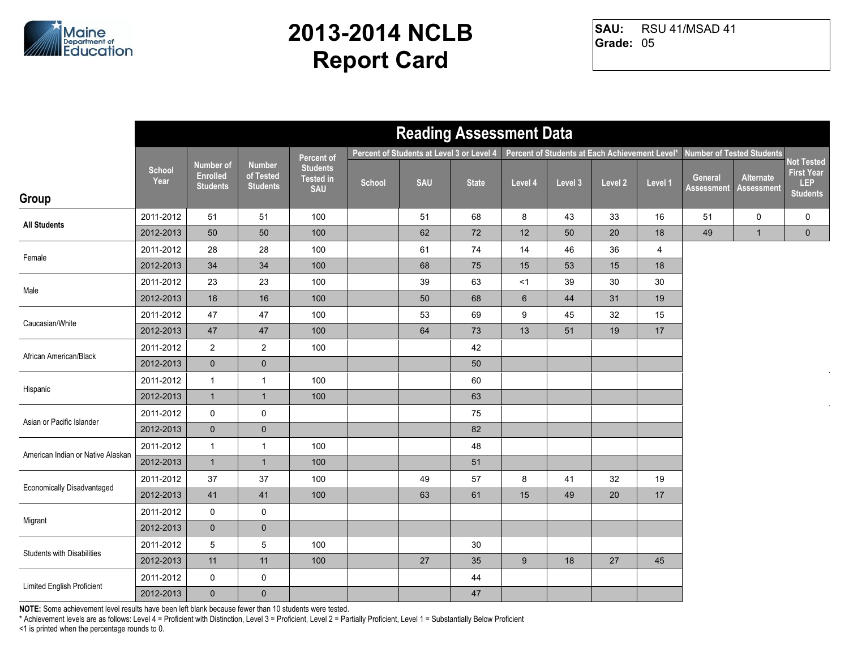

RSU 41/MSAD 41 **Grade:** 05 **SAU:**

|                                   |                       |                                                        |                                               |                                                   |        | <b>Reading Assessment Data</b>            |              |         |                                                |         |                |                              |                                  |                                                           |
|-----------------------------------|-----------------------|--------------------------------------------------------|-----------------------------------------------|---------------------------------------------------|--------|-------------------------------------------|--------------|---------|------------------------------------------------|---------|----------------|------------------------------|----------------------------------|-----------------------------------------------------------|
|                                   |                       |                                                        |                                               | Percent of                                        |        | Percent of Students at Level 3 or Level 4 |              |         | Percent of Students at Each Achievement Level* |         |                |                              | <b>Number of Tested Students</b> |                                                           |
| Group                             | <b>School</b><br>Year | <b>Number of</b><br><b>Enrolled</b><br><b>Students</b> | <b>Number</b><br>of Tested<br><b>Students</b> | <b>Students</b><br><b>Tested in</b><br><b>SAU</b> | School | <b>SAU</b>                                | <b>State</b> | Level 4 | Level 3                                        | Level 2 | Level 1        | General<br><b>Assessment</b> | Alternate<br><b>Assessment</b>   | Not Tested<br><b>First Year</b><br>LEP<br><b>Students</b> |
|                                   |                       |                                                        |                                               |                                                   |        |                                           |              |         |                                                |         |                |                              |                                  |                                                           |
| <b>All Students</b>               | 2011-2012             | 51                                                     | 51                                            | 100                                               |        | 51                                        | 68           | 8       | 43                                             | 33      | 16             | 51                           | 0                                | 0                                                         |
|                                   | 2012-2013             | 50                                                     | 50                                            | 100                                               |        | 62                                        | 72           | 12      | 50                                             | 20      | 18             | 49                           | $\mathbf{1}$                     | $\mathbf 0$                                               |
| Female                            | 2011-2012             | 28                                                     | 28                                            | 100                                               |        | 61                                        | 74           | 14      | 46                                             | 36      | $\overline{4}$ |                              |                                  |                                                           |
|                                   | 2012-2013             | 34                                                     | 34                                            | 100                                               |        | 68                                        | 75           | 15      | 53                                             | 15      | 18             |                              |                                  |                                                           |
| Male                              | 2011-2012             | 23                                                     | 23                                            | 100                                               |        | 39                                        | 63           | <1      | 39                                             | 30      | $30\,$         |                              |                                  |                                                           |
|                                   | 2012-2013             | 16                                                     | 16                                            | 100                                               |        | 50                                        | 68           | $\,6\,$ | 44                                             | 31      | 19             |                              |                                  |                                                           |
| Caucasian/White                   | 2011-2012             | 47                                                     | 47                                            | 100                                               |        | 53                                        | 69           | 9       | 45                                             | 32      | 15             |                              |                                  |                                                           |
|                                   | 2012-2013             | $47\,$                                                 | 47                                            | 100                                               |        | 64                                        | 73           | 13      | 51                                             | 19      | $17$           |                              |                                  |                                                           |
| African American/Black            | 2011-2012             | $\overline{2}$                                         | $\sqrt{2}$                                    | 100                                               |        |                                           | 42           |         |                                                |         |                |                              |                                  |                                                           |
|                                   | 2012-2013             | $\mathbf 0$                                            | $\mathbf 0$                                   |                                                   |        |                                           | 50           |         |                                                |         |                |                              |                                  |                                                           |
| Hispanic                          | 2011-2012             | $\mathbf{1}$                                           | $\mathbf{1}$                                  | 100                                               |        |                                           | 60           |         |                                                |         |                |                              |                                  |                                                           |
|                                   | 2012-2013             | $\mathbf{1}$                                           | $\mathbf{1}$                                  | 100                                               |        |                                           | 63           |         |                                                |         |                |                              |                                  |                                                           |
| Asian or Pacific Islander         | 2011-2012             | $\pmb{0}$                                              | $\pmb{0}$                                     |                                                   |        |                                           | 75           |         |                                                |         |                |                              |                                  |                                                           |
|                                   | 2012-2013             | $\mathbf 0$                                            | $\pmb{0}$                                     |                                                   |        |                                           | 82           |         |                                                |         |                |                              |                                  |                                                           |
| American Indian or Native Alaskan | 2011-2012             | $\mathbf{1}$                                           | $\mathbf{1}$                                  | 100                                               |        |                                           | 48           |         |                                                |         |                |                              |                                  |                                                           |
|                                   | 2012-2013             | $\mathbf{1}$                                           | $\mathbf{1}$                                  | 100                                               |        |                                           | 51           |         |                                                |         |                |                              |                                  |                                                           |
| <b>Economically Disadvantaged</b> | 2011-2012             | 37                                                     | 37                                            | 100                                               |        | 49                                        | 57           | 8       | 41                                             | 32      | 19             |                              |                                  |                                                           |
|                                   | 2012-2013             | 41                                                     | 41                                            | 100                                               |        | 63                                        | 61           | 15      | 49                                             | 20      | 17             |                              |                                  |                                                           |
| Migrant                           | 2011-2012             | 0                                                      | $\mathbf 0$                                   |                                                   |        |                                           |              |         |                                                |         |                |                              |                                  |                                                           |
|                                   | 2012-2013             | $\mathbf 0$                                            | $\pmb{0}$                                     |                                                   |        |                                           |              |         |                                                |         |                |                              |                                  |                                                           |
| <b>Students with Disabilities</b> | 2011-2012             | 5                                                      | $\mathbf 5$                                   | 100                                               |        |                                           | 30           |         |                                                |         |                |                              |                                  |                                                           |
|                                   | 2012-2013             | 11                                                     | 11                                            | 100                                               |        | 27                                        | 35           | 9       | 18                                             | 27      | 45             |                              |                                  |                                                           |
| Limited English Proficient        | 2011-2012             | 0                                                      | 0                                             |                                                   |        |                                           | 44           |         |                                                |         |                |                              |                                  |                                                           |
|                                   | 2012-2013             | $\mathbf 0$                                            | $\pmb{0}$                                     |                                                   |        |                                           | 47           |         |                                                |         |                |                              |                                  |                                                           |

**NOTE:** Some achievement level results have been left blank because fewer than 10 students were tested.

\* Achievement levels are as follows: Level 4 = Proficient with Distinction, Level 3 = Proficient, Level 2 = Partially Proficient, Level 1 = Substantially Below Proficient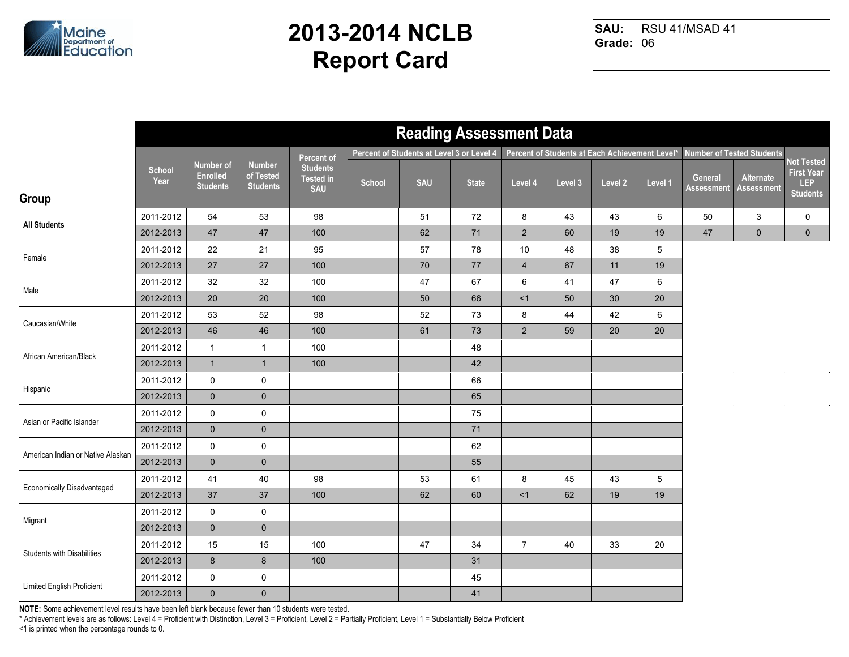

RSU 41/MSAD 41 **Grade:** 06 **SAU:**

|                                   |                       |                                                        |                                               |                                                   |        | <b>Reading Assessment Data</b>            |              |                |                                                |         |         |                              |                                  |                                                           |
|-----------------------------------|-----------------------|--------------------------------------------------------|-----------------------------------------------|---------------------------------------------------|--------|-------------------------------------------|--------------|----------------|------------------------------------------------|---------|---------|------------------------------|----------------------------------|-----------------------------------------------------------|
|                                   |                       |                                                        |                                               | Percent of                                        |        | Percent of Students at Level 3 or Level 4 |              |                | Percent of Students at Each Achievement Level* |         |         |                              | <b>Number of Tested Students</b> |                                                           |
| Group                             | <b>School</b><br>Year | <b>Number of</b><br><b>Enrolled</b><br><b>Students</b> | <b>Number</b><br>of Tested<br><b>Students</b> | <b>Students</b><br><b>Tested in</b><br><b>SAU</b> | School | <b>SAU</b>                                | <b>State</b> | Level 4        | Level 3                                        | Level 2 | Level 1 | General<br><b>Assessment</b> | Alternate<br><b>Assessment</b>   | Not Tested<br><b>First Year</b><br>LEP<br><b>Students</b> |
|                                   |                       |                                                        |                                               |                                                   |        |                                           |              |                |                                                |         |         |                              |                                  |                                                           |
| <b>All Students</b>               | 2011-2012             | 54                                                     | 53                                            | 98                                                |        | 51                                        | 72           | 8              | 43                                             | 43      | 6       | 50                           | 3                                | 0                                                         |
|                                   | 2012-2013             | $47\,$                                                 | $47\,$                                        | 100                                               |        | 62                                        | $71$         | $\overline{2}$ | 60                                             | 19      | 19      | $47\,$                       | $\mathbf 0$                      | $\mathbf 0$                                               |
| Female                            | 2011-2012             | 22                                                     | 21                                            | 95                                                |        | 57                                        | 78           | 10             | 48                                             | 38      | 5       |                              |                                  |                                                           |
|                                   | 2012-2013             | 27                                                     | 27                                            | 100                                               |        | 70                                        | 77           | $\overline{4}$ | 67                                             | 11      | 19      |                              |                                  |                                                           |
| Male                              | 2011-2012             | 32                                                     | 32                                            | 100                                               |        | 47                                        | 67           | 6              | 41                                             | 47      | 6       |                              |                                  |                                                           |
|                                   | 2012-2013             | 20                                                     | 20                                            | 100                                               |        | 50                                        | 66           | <1             | 50                                             | 30      | 20      |                              |                                  |                                                           |
| Caucasian/White                   | 2011-2012             | 53                                                     | 52                                            | 98                                                |        | 52                                        | 73           | 8              | 44                                             | 42      | 6       |                              |                                  |                                                           |
|                                   | 2012-2013             | $46\,$                                                 | 46                                            | 100                                               |        | 61                                        | 73           | $\overline{2}$ | 59                                             | 20      | $20\,$  |                              |                                  |                                                           |
| African American/Black            | 2011-2012             | $\mathbf{1}$                                           | $\mathbf{1}$                                  | 100                                               |        |                                           | 48           |                |                                                |         |         |                              |                                  |                                                           |
|                                   | 2012-2013             | $\mathbf{1}$                                           | $\overline{1}$                                | 100                                               |        |                                           | 42           |                |                                                |         |         |                              |                                  |                                                           |
|                                   | 2011-2012             | 0                                                      | $\mathbf 0$                                   |                                                   |        |                                           | 66           |                |                                                |         |         |                              |                                  |                                                           |
| Hispanic                          | 2012-2013             | $\mathbf 0$                                            | $\pmb{0}$                                     |                                                   |        |                                           | 65           |                |                                                |         |         |                              |                                  |                                                           |
| Asian or Pacific Islander         | 2011-2012             | 0                                                      | $\pmb{0}$                                     |                                                   |        |                                           | 75           |                |                                                |         |         |                              |                                  |                                                           |
|                                   | 2012-2013             | $\mathbf 0$                                            | $\pmb{0}$                                     |                                                   |        |                                           | 71           |                |                                                |         |         |                              |                                  |                                                           |
| American Indian or Native Alaskan | 2011-2012             | $\mathsf{O}$                                           | $\pmb{0}$                                     |                                                   |        |                                           | 62           |                |                                                |         |         |                              |                                  |                                                           |
|                                   | 2012-2013             | $\mathbf 0$                                            | $\mathbf 0$                                   |                                                   |        |                                           | 55           |                |                                                |         |         |                              |                                  |                                                           |
| <b>Economically Disadvantaged</b> | 2011-2012             | 41                                                     | 40                                            | 98                                                |        | 53                                        | 61           | 8              | 45                                             | 43      | 5       |                              |                                  |                                                           |
|                                   | 2012-2013             | 37                                                     | 37                                            | 100                                               |        | 62                                        | 60           | <1             | 62                                             | 19      | 19      |                              |                                  |                                                           |
| Migrant                           | 2011-2012             | 0                                                      | $\mathbf 0$                                   |                                                   |        |                                           |              |                |                                                |         |         |                              |                                  |                                                           |
|                                   | 2012-2013             | $\mathbf{0}$                                           | $\pmb{0}$                                     |                                                   |        |                                           |              |                |                                                |         |         |                              |                                  |                                                           |
| <b>Students with Disabilities</b> | 2011-2012             | 15                                                     | 15                                            | 100                                               |        | 47                                        | 34           | $\overline{7}$ | 40                                             | 33      | 20      |                              |                                  |                                                           |
|                                   | 2012-2013             | 8                                                      | $\bf 8$                                       | 100                                               |        |                                           | 31           |                |                                                |         |         |                              |                                  |                                                           |
| Limited English Proficient        | 2011-2012             | 0                                                      | 0                                             |                                                   |        |                                           | 45           |                |                                                |         |         |                              |                                  |                                                           |
|                                   | 2012-2013             | $\mathbf 0$                                            | $\pmb{0}$                                     |                                                   |        |                                           | 41           |                |                                                |         |         |                              |                                  |                                                           |

**NOTE:** Some achievement level results have been left blank because fewer than 10 students were tested.

\* Achievement levels are as follows: Level 4 = Proficient with Distinction, Level 3 = Proficient, Level 2 = Partially Proficient, Level 1 = Substantially Below Proficient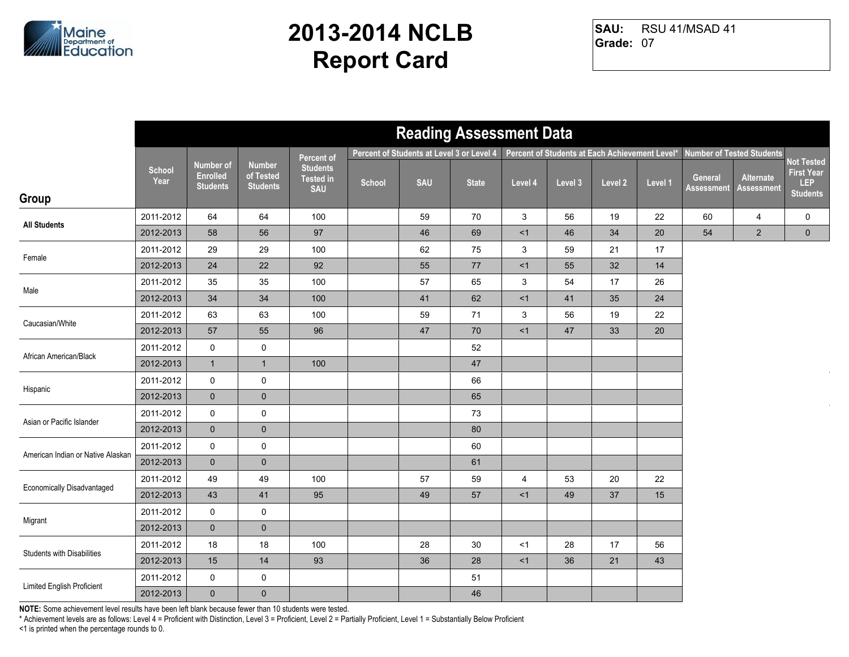

RSU 41/MSAD 41 **Grade:** 07 **SAU:**

|                                   |                       |                                                        |                                               |                                                   |        | <b>Reading Assessment Data</b>            |              |                |                                                |         |         |                              |                                  |                                                           |
|-----------------------------------|-----------------------|--------------------------------------------------------|-----------------------------------------------|---------------------------------------------------|--------|-------------------------------------------|--------------|----------------|------------------------------------------------|---------|---------|------------------------------|----------------------------------|-----------------------------------------------------------|
|                                   |                       |                                                        |                                               | Percent of                                        |        | Percent of Students at Level 3 or Level 4 |              |                | Percent of Students at Each Achievement Level* |         |         |                              | <b>Number of Tested Students</b> |                                                           |
|                                   | <b>School</b><br>Year | <b>Number of</b><br><b>Enrolled</b><br><b>Students</b> | <b>Number</b><br>of Tested<br><b>Students</b> | <b>Students</b><br><b>Tested in</b><br><b>SAU</b> | School | <b>SAU</b>                                | <b>State</b> | Level 4        | Level 3                                        | Level 2 | Level 1 | General<br><b>Assessment</b> | Alternate<br><b>Assessment</b>   | Not Tested<br><b>First Year</b><br>LEP<br><b>Students</b> |
| Group                             |                       |                                                        |                                               |                                                   |        |                                           |              |                |                                                |         |         |                              |                                  |                                                           |
| <b>All Students</b>               | 2011-2012             | 64                                                     | 64                                            | 100                                               |        | 59                                        | 70           | 3              | 56                                             | 19      | 22      | 60                           | 4                                | 0                                                         |
|                                   | 2012-2013             | 58                                                     | 56                                            | 97                                                |        | 46                                        | 69           | <1             | 46                                             | 34      | 20      | 54                           | $\overline{2}$                   | $\mathbf 0$                                               |
| Female                            | 2011-2012             | 29                                                     | 29                                            | 100                                               |        | 62                                        | 75           | 3              | 59                                             | 21      | 17      |                              |                                  |                                                           |
|                                   | 2012-2013             | 24                                                     | 22                                            | 92                                                |        | 55                                        | $77\,$       | <1             | 55                                             | 32      | 14      |                              |                                  |                                                           |
| Male                              | 2011-2012             | 35                                                     | 35                                            | 100                                               |        | 57                                        | 65           | 3              | 54                                             | 17      | 26      |                              |                                  |                                                           |
|                                   | 2012-2013             | 34                                                     | 34                                            | 100                                               |        | 41                                        | 62           | <1             | 41                                             | 35      | 24      |                              |                                  |                                                           |
| Caucasian/White                   | 2011-2012             | 63                                                     | 63                                            | 100                                               |        | 59                                        | 71           | $\mathbf{3}$   | 56                                             | 19      | 22      |                              |                                  |                                                           |
|                                   | 2012-2013             | 57                                                     | 55                                            | 96                                                |        | 47                                        | 70           | <1             | 47                                             | 33      | 20      |                              |                                  |                                                           |
| African American/Black            | 2011-2012             | 0                                                      | $\mathbf 0$                                   |                                                   |        |                                           | 52           |                |                                                |         |         |                              |                                  |                                                           |
|                                   | 2012-2013             | $\mathbf{1}$                                           | $\mathbf{1}$                                  | 100                                               |        |                                           | $47\,$       |                |                                                |         |         |                              |                                  |                                                           |
| Hispanic                          | 2011-2012             | 0                                                      | $\pmb{0}$                                     |                                                   |        |                                           | 66           |                |                                                |         |         |                              |                                  |                                                           |
|                                   | 2012-2013             | $\mathbf{0}$                                           | $\pmb{0}$                                     |                                                   |        |                                           | 65           |                |                                                |         |         |                              |                                  |                                                           |
| Asian or Pacific Islander         | 2011-2012             | 0                                                      | $\pmb{0}$                                     |                                                   |        |                                           | 73           |                |                                                |         |         |                              |                                  |                                                           |
|                                   | 2012-2013             | $\mathbf{0}$                                           | $\pmb{0}$                                     |                                                   |        |                                           | $80\,$       |                |                                                |         |         |                              |                                  |                                                           |
| American Indian or Native Alaskan | 2011-2012             | $\mathsf{O}$                                           | 0                                             |                                                   |        |                                           | 60           |                |                                                |         |         |                              |                                  |                                                           |
|                                   | 2012-2013             | $\mathbf{0}$                                           | $\mathbf 0$                                   |                                                   |        |                                           | 61           |                |                                                |         |         |                              |                                  |                                                           |
| <b>Economically Disadvantaged</b> | 2011-2012             | 49                                                     | 49                                            | 100                                               |        | 57                                        | 59           | $\overline{4}$ | 53                                             | 20      | 22      |                              |                                  |                                                           |
|                                   | 2012-2013             | 43                                                     | 41                                            | 95                                                |        | 49                                        | $57\,$       | <1             | 49                                             | 37      | 15      |                              |                                  |                                                           |
| Migrant                           | 2011-2012             | 0                                                      | $\mathbf 0$                                   |                                                   |        |                                           |              |                |                                                |         |         |                              |                                  |                                                           |
|                                   | 2012-2013             | $\mathbf 0$                                            | $\pmb{0}$                                     |                                                   |        |                                           |              |                |                                                |         |         |                              |                                  |                                                           |
| <b>Students with Disabilities</b> | 2011-2012             | 18                                                     | 18                                            | 100                                               |        | 28                                        | 30           | <1             | 28                                             | 17      | 56      |                              |                                  |                                                           |
|                                   | 2012-2013             | 15                                                     | 14                                            | 93                                                |        | 36                                        | 28           | <1             | 36                                             | 21      | 43      |                              |                                  |                                                           |
| Limited English Proficient        | 2011-2012             | 0                                                      | 0                                             |                                                   |        |                                           | 51           |                |                                                |         |         |                              |                                  |                                                           |
|                                   | 2012-2013             | $\mathbf{0}$                                           | $\pmb{0}$                                     |                                                   |        |                                           | 46           |                |                                                |         |         |                              |                                  |                                                           |

**NOTE:** Some achievement level results have been left blank because fewer than 10 students were tested.

\* Achievement levels are as follows: Level 4 = Proficient with Distinction, Level 3 = Proficient, Level 2 = Partially Proficient, Level 1 = Substantially Below Proficient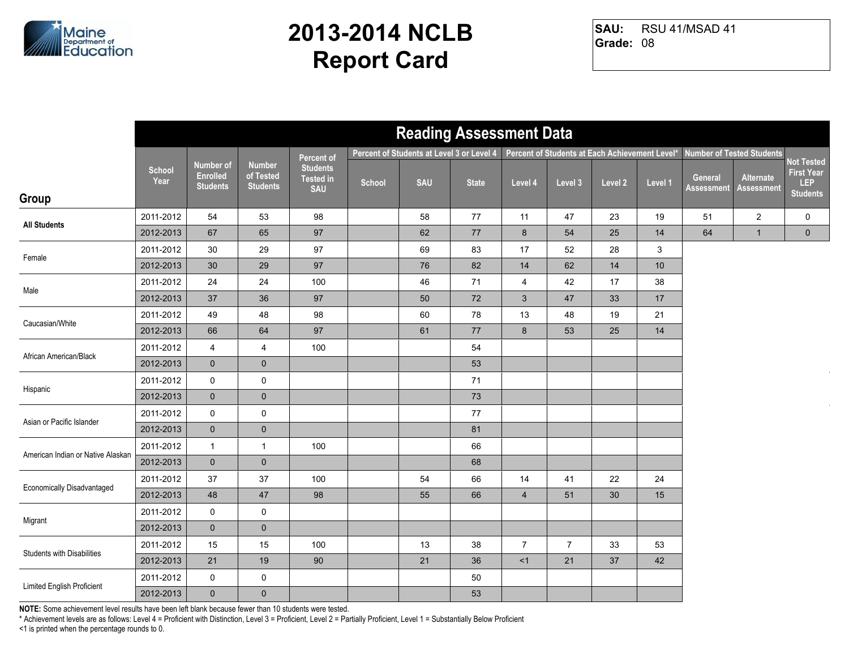

RSU 41/MSAD 41 **Grade:** 08 **SAU:**

|                                   |                       |                                                        |                                               |                                                   |        | <b>Reading Assessment Data</b>            |              |                |                                                |         |         |                              |                                  |                                                           |
|-----------------------------------|-----------------------|--------------------------------------------------------|-----------------------------------------------|---------------------------------------------------|--------|-------------------------------------------|--------------|----------------|------------------------------------------------|---------|---------|------------------------------|----------------------------------|-----------------------------------------------------------|
|                                   |                       |                                                        |                                               | Percent of                                        |        | Percent of Students at Level 3 or Level 4 |              |                | Percent of Students at Each Achievement Level* |         |         |                              | <b>Number of Tested Students</b> |                                                           |
| Group                             | <b>School</b><br>Year | <b>Number of</b><br><b>Enrolled</b><br><b>Students</b> | <b>Number</b><br>of Tested<br><b>Students</b> | <b>Students</b><br><b>Tested in</b><br><b>SAU</b> | School | <b>SAU</b>                                | <b>State</b> | Level 4        | Level 3                                        | Level 2 | Level 1 | General<br><b>Assessment</b> | Alternate<br><b>Assessment</b>   | Not Tested<br><b>First Year</b><br>LEP<br><b>Students</b> |
|                                   |                       |                                                        |                                               |                                                   |        |                                           |              |                |                                                |         |         |                              |                                  |                                                           |
| <b>All Students</b>               | 2011-2012             | 54                                                     | 53                                            | 98                                                |        | 58                                        | 77           | 11             | 47                                             | 23      | 19      | 51                           | $\overline{2}$                   | 0                                                         |
|                                   | 2012-2013             | 67                                                     | 65                                            | 97                                                |        | 62                                        | $77\,$       | 8              | 54                                             | 25      | 14      | 64                           | $\mathbf{1}$                     | $\mathbf 0$                                               |
| Female                            | 2011-2012             | 30                                                     | 29                                            | 97                                                |        | 69                                        | 83           | 17             | 52                                             | 28      | 3       |                              |                                  |                                                           |
|                                   | 2012-2013             | 30                                                     | 29                                            | 97                                                |        | 76                                        | 82           | 14             | 62                                             | 14      | 10      |                              |                                  |                                                           |
| Male                              | 2011-2012             | 24                                                     | 24                                            | 100                                               |        | 46                                        | 71           | $\overline{4}$ | 42                                             | 17      | 38      |                              |                                  |                                                           |
|                                   | 2012-2013             | 37                                                     | 36                                            | 97                                                |        | 50                                        | 72           | $\mathbf{3}$   | 47                                             | 33      | 17      |                              |                                  |                                                           |
| Caucasian/White                   | 2011-2012             | 49                                                     | 48                                            | 98                                                |        | 60                                        | 78           | 13             | 48                                             | 19      | 21      |                              |                                  |                                                           |
|                                   | 2012-2013             | 66                                                     | 64                                            | 97                                                |        | 61                                        | $77\,$       | $8\phantom{1}$ | 53                                             | 25      | 14      |                              |                                  |                                                           |
| African American/Black            | 2011-2012             | 4                                                      | 4                                             | 100                                               |        |                                           | 54           |                |                                                |         |         |                              |                                  |                                                           |
|                                   | 2012-2013             | $\mathbf 0$                                            | $\mathbf 0$                                   |                                                   |        |                                           | 53           |                |                                                |         |         |                              |                                  |                                                           |
|                                   | 2011-2012             | 0                                                      | $\mathbf 0$                                   |                                                   |        |                                           | 71           |                |                                                |         |         |                              |                                  |                                                           |
| Hispanic                          | 2012-2013             | $\mathbf 0$                                            | $\mathbf 0$                                   |                                                   |        |                                           | 73           |                |                                                |         |         |                              |                                  |                                                           |
| Asian or Pacific Islander         | 2011-2012             | 0                                                      | $\pmb{0}$                                     |                                                   |        |                                           | $77\,$       |                |                                                |         |         |                              |                                  |                                                           |
|                                   | 2012-2013             | $\mathbf 0$                                            | $\pmb{0}$                                     |                                                   |        |                                           | 81           |                |                                                |         |         |                              |                                  |                                                           |
| American Indian or Native Alaskan | 2011-2012             | $\mathbf{1}$                                           | $\mathbf{1}$                                  | 100                                               |        |                                           | 66           |                |                                                |         |         |                              |                                  |                                                           |
|                                   | 2012-2013             | $\mathbf{0}$                                           | $\mathbf 0$                                   |                                                   |        |                                           | 68           |                |                                                |         |         |                              |                                  |                                                           |
| <b>Economically Disadvantaged</b> | 2011-2012             | 37                                                     | 37                                            | 100                                               |        | 54                                        | 66           | 14             | 41                                             | 22      | 24      |                              |                                  |                                                           |
|                                   | 2012-2013             | 48                                                     | 47                                            | 98                                                |        | 55                                        | 66           | $\overline{4}$ | 51                                             | 30      | 15      |                              |                                  |                                                           |
| Migrant                           | 2011-2012             | 0                                                      | $\mathbf 0$                                   |                                                   |        |                                           |              |                |                                                |         |         |                              |                                  |                                                           |
|                                   | 2012-2013             | $\mathbf{0}$                                           | $\pmb{0}$                                     |                                                   |        |                                           |              |                |                                                |         |         |                              |                                  |                                                           |
| <b>Students with Disabilities</b> | 2011-2012             | 15                                                     | 15                                            | 100                                               |        | 13                                        | 38           | $\overline{7}$ | $\overline{7}$                                 | 33      | 53      |                              |                                  |                                                           |
|                                   | 2012-2013             | 21                                                     | 19                                            | 90                                                |        | 21                                        | 36           | <1             | 21                                             | 37      | 42      |                              |                                  |                                                           |
| Limited English Proficient        | 2011-2012             | 0                                                      | 0                                             |                                                   |        |                                           | 50           |                |                                                |         |         |                              |                                  |                                                           |
|                                   | 2012-2013             | $\mathbf 0$                                            | $\pmb{0}$                                     |                                                   |        |                                           | 53           |                |                                                |         |         |                              |                                  |                                                           |

**NOTE:** Some achievement level results have been left blank because fewer than 10 students were tested.

\* Achievement levels are as follows: Level 4 = Proficient with Distinction, Level 3 = Proficient, Level 2 = Partially Proficient, Level 1 = Substantially Below Proficient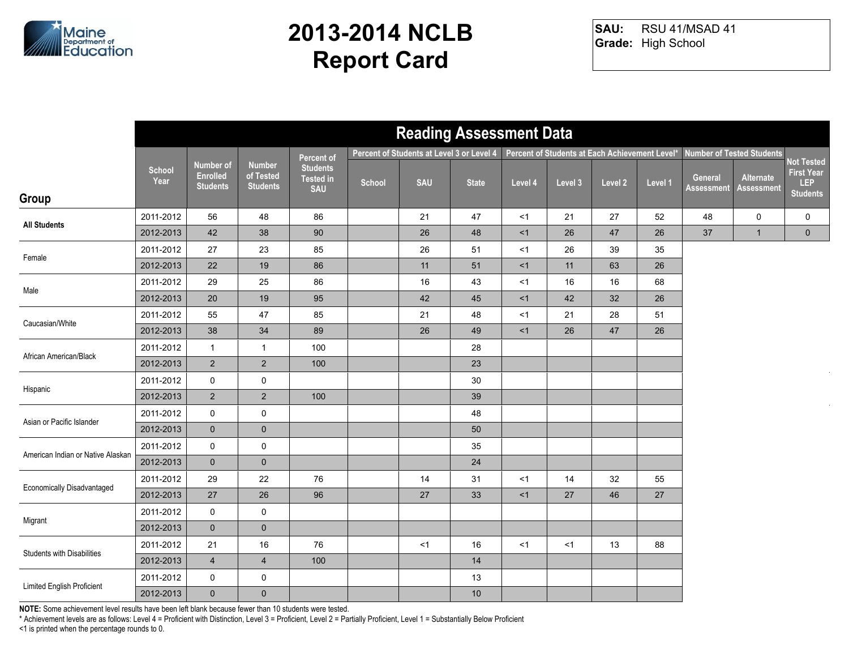

RSU 41/MSAD 41 **Grade:** High School **SAU:**

|                                   |                       |                                                        |                                               |                                                   |        |            | <b>Reading Assessment Data</b>            |         |                                                |         |         |                              |                                  |                                                                  |
|-----------------------------------|-----------------------|--------------------------------------------------------|-----------------------------------------------|---------------------------------------------------|--------|------------|-------------------------------------------|---------|------------------------------------------------|---------|---------|------------------------------|----------------------------------|------------------------------------------------------------------|
|                                   |                       |                                                        |                                               | Percent of                                        |        |            | Percent of Students at Level 3 or Level 4 |         | Percent of Students at Each Achievement Level* |         |         |                              | <b>Number of Tested Students</b> |                                                                  |
| Group                             | <b>School</b><br>Year | <b>Number of</b><br><b>Enrolled</b><br><b>Students</b> | <b>Number</b><br>of Tested<br><b>Students</b> | <b>Students</b><br><b>Tested in</b><br><b>SAU</b> | School | <b>SAU</b> | <b>State</b>                              | Level 4 | Level 3                                        | Level 2 | Level 1 | General<br><b>Assessment</b> | Alternate<br><b>Assessment</b>   | <b>Not Tested</b><br><b>First Year</b><br>LEP<br><b>Students</b> |
|                                   | 2011-2012             | 56                                                     | 48                                            | 86                                                |        | 21         | 47                                        | <1      | 21                                             | 27      | 52      | 48                           | 0                                | 0                                                                |
| <b>All Students</b>               | 2012-2013             | 42                                                     | 38                                            | 90                                                |        | 26         | 48                                        | <1      | 26                                             | 47      | 26      | 37                           | $\mathbf{1}$                     | $\overline{0}$                                                   |
|                                   | 2011-2012             | 27                                                     | 23                                            | 85                                                |        | 26         | 51                                        | $<$ 1   | 26                                             | 39      | 35      |                              |                                  |                                                                  |
| Female                            | 2012-2013             | 22                                                     | 19                                            | 86                                                |        | 11         | 51                                        | <1      | 11                                             | 63      | 26      |                              |                                  |                                                                  |
| Male                              | 2011-2012             | 29                                                     | 25                                            | 86                                                |        | 16         | 43                                        | $<$ 1   | 16                                             | 16      | 68      |                              |                                  |                                                                  |
|                                   | 2012-2013             | 20                                                     | 19                                            | 95                                                |        | 42         | 45                                        | <1      | 42                                             | 32      | 26      |                              |                                  |                                                                  |
| Caucasian/White                   | 2011-2012             | 55                                                     | 47                                            | 85                                                |        | 21         | 48                                        | <1      | 21                                             | 28      | 51      |                              |                                  |                                                                  |
|                                   | 2012-2013             | 38                                                     | 34                                            | 89                                                |        | 26         | 49                                        | <1      | 26                                             | 47      | 26      |                              |                                  |                                                                  |
| African American/Black            | 2011-2012             | $\mathbf{1}$                                           | $\mathbf{1}$                                  | 100                                               |        |            | 28                                        |         |                                                |         |         |                              |                                  |                                                                  |
|                                   | 2012-2013             | $\overline{2}$                                         | $\sqrt{2}$                                    | 100                                               |        |            | 23                                        |         |                                                |         |         |                              |                                  |                                                                  |
| Hispanic                          | 2011-2012             | $\mathbf 0$                                            | $\pmb{0}$                                     |                                                   |        |            | $30\,$                                    |         |                                                |         |         |                              |                                  |                                                                  |
|                                   | 2012-2013             | $\overline{2}$                                         | $\overline{2}$                                | 100                                               |        |            | 39                                        |         |                                                |         |         |                              |                                  |                                                                  |
| Asian or Pacific Islander         | 2011-2012             | 0                                                      | $\pmb{0}$                                     |                                                   |        |            | 48                                        |         |                                                |         |         |                              |                                  |                                                                  |
|                                   | 2012-2013             | $\overline{0}$                                         | $\pmb{0}$                                     |                                                   |        |            | 50                                        |         |                                                |         |         |                              |                                  |                                                                  |
| American Indian or Native Alaskan | 2011-2012             | 0                                                      | $\pmb{0}$                                     |                                                   |        |            | 35                                        |         |                                                |         |         |                              |                                  |                                                                  |
|                                   | 2012-2013             | $\overline{0}$                                         | $\pmb{0}$                                     |                                                   |        |            | 24                                        |         |                                                |         |         |                              |                                  |                                                                  |
| Economically Disadvantaged        | 2011-2012             | 29                                                     | $22\,$                                        | 76                                                |        | 14         | 31                                        | <1      | 14                                             | 32      | 55      |                              |                                  |                                                                  |
|                                   | 2012-2013             | 27                                                     | 26                                            | 96                                                |        | 27         | 33                                        | <1      | 27                                             | 46      | 27      |                              |                                  |                                                                  |
| Migrant                           | 2011-2012             | $\mathsf{O}$                                           | $\pmb{0}$                                     |                                                   |        |            |                                           |         |                                                |         |         |                              |                                  |                                                                  |
|                                   | 2012-2013             | $\overline{0}$                                         | $\pmb{0}$                                     |                                                   |        |            |                                           |         |                                                |         |         |                              |                                  |                                                                  |
| <b>Students with Disabilities</b> | 2011-2012             | 21                                                     | 16                                            | 76                                                |        | < 1        | 16                                        | <1      | <1                                             | 13      | 88      |                              |                                  |                                                                  |
|                                   | 2012-2013             | $\overline{4}$                                         | $\overline{\mathbf{4}}$                       | 100                                               |        |            | 14                                        |         |                                                |         |         |                              |                                  |                                                                  |
| Limited English Proficient        | 2011-2012             | $\mathsf{O}$                                           | $\pmb{0}$                                     |                                                   |        |            | 13                                        |         |                                                |         |         |                              |                                  |                                                                  |
|                                   | 2012-2013             | $\overline{0}$                                         | $\pmb{0}$                                     |                                                   |        |            | $10$                                      |         |                                                |         |         |                              |                                  |                                                                  |

**NOTE:** Some achievement level results have been left blank because fewer than 10 students were tested.

\* Achievement levels are as follows: Level 4 = Proficient with Distinction, Level 3 = Proficient, Level 2 = Partially Proficient, Level 1 = Substantially Below Proficient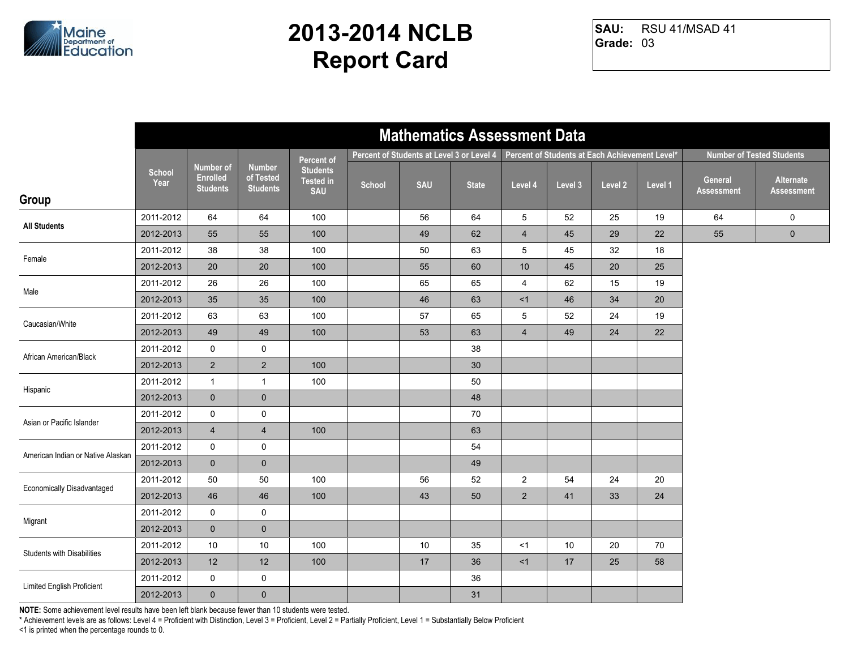

RSU 41/MSAD 41 **Grade:** 03 **SAU:**

|                                   |                       |                                                        |                                               |                                                   |        | <b>Mathematics Assessment Data</b>        |              |                 |                                                |         |         |                              |                                  |
|-----------------------------------|-----------------------|--------------------------------------------------------|-----------------------------------------------|---------------------------------------------------|--------|-------------------------------------------|--------------|-----------------|------------------------------------------------|---------|---------|------------------------------|----------------------------------|
|                                   |                       |                                                        |                                               | Percent of                                        |        | Percent of Students at Level 3 or Level 4 |              |                 | Percent of Students at Each Achievement Level* |         |         |                              | <b>Number of Tested Students</b> |
| Group                             | <b>School</b><br>Year | <b>Number of</b><br><b>Enrolled</b><br><b>Students</b> | <b>Number</b><br>of Tested<br><b>Students</b> | <b>Students</b><br><b>Tested in</b><br><b>SAU</b> | School | <b>SAU</b>                                | <b>State</b> | Level 4         | Level 3                                        | Level 2 | Level 1 | General<br><b>Assessment</b> | Alternate<br><b>Assessment</b>   |
|                                   | 2011-2012             | 64                                                     | 64                                            | 100                                               |        | 56                                        | 64           | 5               | 52                                             | 25      | 19      | 64                           | $\mathbf 0$                      |
| <b>All Students</b>               | 2012-2013             | 55                                                     | 55                                            | 100                                               |        | 49                                        | 62           | $\overline{4}$  | 45                                             | 29      | 22      | 55                           | $\pmb{0}$                        |
|                                   | 2011-2012             | 38                                                     | 38                                            | 100                                               |        | 50                                        | 63           | 5               | 45                                             | 32      | 18      |                              |                                  |
| Female                            | 2012-2013             | 20                                                     | 20                                            | 100                                               |        | 55                                        | 60           | 10              | 45                                             | 20      | 25      |                              |                                  |
| Male                              | 2011-2012             | 26                                                     | 26                                            | 100                                               |        | 65                                        | 65           | $\overline{4}$  | 62                                             | 15      | 19      |                              |                                  |
|                                   | 2012-2013             | 35                                                     | 35                                            | 100                                               |        | 46                                        | 63           | <1              | 46                                             | 34      | 20      |                              |                                  |
| Caucasian/White                   | 2011-2012             | 63                                                     | 63                                            | 100                                               |        | 57                                        | 65           | $5\phantom{.0}$ | 52                                             | 24      | 19      |                              |                                  |
|                                   | 2012-2013             | 49                                                     | 49                                            | 100                                               |        | 53                                        | 63           | $\overline{4}$  | 49                                             | 24      | 22      |                              |                                  |
| African American/Black            | 2011-2012             | $\mathsf{O}$                                           | 0                                             |                                                   |        |                                           | 38           |                 |                                                |         |         |                              |                                  |
|                                   | 2012-2013             | $2^{\circ}$                                            | $\overline{c}$                                | 100                                               |        |                                           | 30           |                 |                                                |         |         |                              |                                  |
| Hispanic                          | 2011-2012             | $\mathbf{1}$                                           | $\mathbf{1}$                                  | 100                                               |        |                                           | 50           |                 |                                                |         |         |                              |                                  |
|                                   | 2012-2013             | $\mathbf{0}$                                           | $\pmb{0}$                                     |                                                   |        |                                           | 48           |                 |                                                |         |         |                              |                                  |
| Asian or Pacific Islander         | 2011-2012             | $\mathsf{O}$                                           | $\mathbf 0$                                   |                                                   |        |                                           | 70           |                 |                                                |         |         |                              |                                  |
|                                   | 2012-2013             | $\overline{4}$                                         | $\overline{4}$                                | 100                                               |        |                                           | 63           |                 |                                                |         |         |                              |                                  |
| American Indian or Native Alaskan | 2011-2012             | $\mathsf{O}$                                           | 0                                             |                                                   |        |                                           | 54           |                 |                                                |         |         |                              |                                  |
|                                   | 2012-2013             | $\mathbf 0$                                            | $\mathbf 0$                                   |                                                   |        |                                           | 49           |                 |                                                |         |         |                              |                                  |
| <b>Economically Disadvantaged</b> | 2011-2012             | 50                                                     | 50                                            | 100                                               |        | 56                                        | 52           | $\overline{2}$  | 54                                             | 24      | 20      |                              |                                  |
|                                   | 2012-2013             | 46                                                     | 46                                            | 100                                               |        | 43                                        | 50           | $\overline{2}$  | 41                                             | 33      | 24      |                              |                                  |
| Migrant                           | 2011-2012             | $\mathsf{O}$                                           | 0                                             |                                                   |        |                                           |              |                 |                                                |         |         |                              |                                  |
|                                   | 2012-2013             | $\mathbf{0}$                                           | $\mathbf 0$                                   |                                                   |        |                                           |              |                 |                                                |         |         |                              |                                  |
| <b>Students with Disabilities</b> | 2011-2012             | 10                                                     | $10$                                          | 100                                               |        | 10                                        | 35           | <1              | 10                                             | 20      | 70      |                              |                                  |
|                                   | 2012-2013             | 12                                                     | 12                                            | 100                                               |        | 17                                        | 36           | <1              | 17                                             | 25      | 58      |                              |                                  |
| Limited English Proficient        | 2011-2012             | 0                                                      | $\pmb{0}$                                     |                                                   |        |                                           | 36           |                 |                                                |         |         |                              |                                  |
|                                   | 2012-2013             | $\overline{0}$                                         | $\pmb{0}$                                     |                                                   |        |                                           | 31           |                 |                                                |         |         |                              |                                  |

**NOTE:** Some achievement level results have been left blank because fewer than 10 students were tested.

\* Achievement levels are as follows: Level 4 = Proficient with Distinction, Level 3 = Proficient, Level 2 = Partially Proficient, Level 1 = Substantially Below Proficient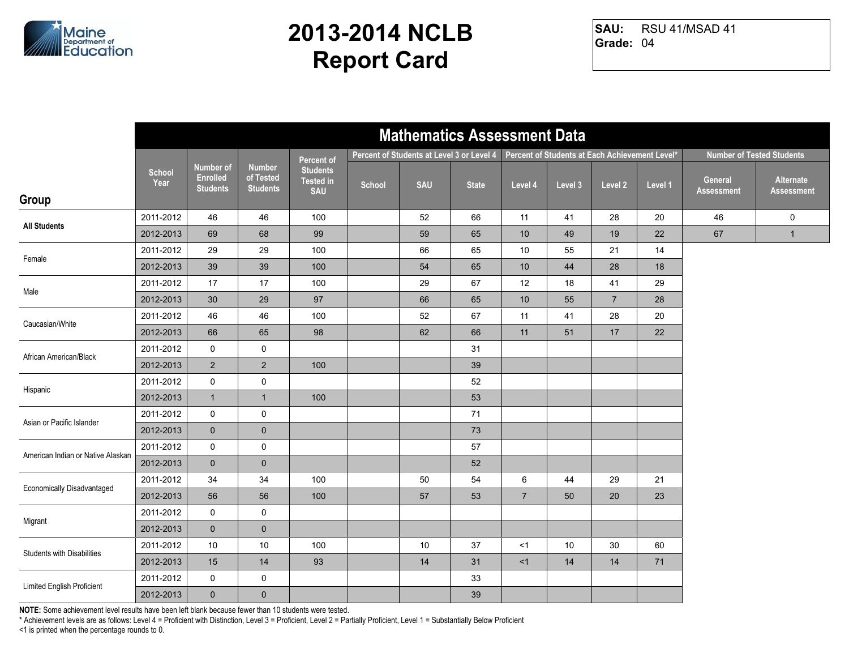

RSU 41/MSAD 41 **Grade:** 04 **SAU:**

|                                   |                       |                                                        |                                               |                                                   |        |                                           | <b>Mathematics Assessment Data</b> |                 |                                                |                |         |                              |                                  |
|-----------------------------------|-----------------------|--------------------------------------------------------|-----------------------------------------------|---------------------------------------------------|--------|-------------------------------------------|------------------------------------|-----------------|------------------------------------------------|----------------|---------|------------------------------|----------------------------------|
|                                   |                       |                                                        |                                               | Percent of                                        |        | Percent of Students at Level 3 or Level 4 |                                    |                 | Percent of Students at Each Achievement Level* |                |         |                              | <b>Number of Tested Students</b> |
| Group                             | <b>School</b><br>Year | <b>Number of</b><br><b>Enrolled</b><br><b>Students</b> | <b>Number</b><br>of Tested<br><b>Students</b> | <b>Students</b><br><b>Tested in</b><br><b>SAU</b> | School | <b>SAU</b>                                | <b>State</b>                       | Level 4         | Level 3                                        | Level 2        | Level 1 | General<br><b>Assessment</b> | Alternate<br><b>Assessment</b>   |
| <b>All Students</b>               | 2011-2012             | 46                                                     | 46                                            | 100                                               |        | 52                                        | 66                                 | 11              | 41                                             | 28             | 20      | 46                           | $\mathbf 0$                      |
|                                   | 2012-2013             | 69                                                     | 68                                            | 99                                                |        | 59                                        | 65                                 | 10              | 49                                             | 19             | 22      | 67                           | $\mathbf{1}$                     |
| Female                            | 2011-2012             | 29                                                     | 29                                            | 100                                               |        | 66                                        | 65                                 | 10              | 55                                             | 21             | 14      |                              |                                  |
|                                   | 2012-2013             | 39                                                     | 39                                            | 100                                               |        | 54                                        | 65                                 | 10 <sup>°</sup> | 44                                             | 28             | 18      |                              |                                  |
| Male                              | 2011-2012             | 17                                                     | 17                                            | 100                                               |        | 29                                        | 67                                 | 12              | 18                                             | 41             | 29      |                              |                                  |
|                                   | 2012-2013             | 30                                                     | 29                                            | 97                                                |        | 66                                        | 65                                 | 10 <sup>°</sup> | 55                                             | $\overline{7}$ | 28      |                              |                                  |
| Caucasian/White                   | 2011-2012             | 46                                                     | 46                                            | 100                                               |        | 52                                        | 67                                 | 11              | 41                                             | 28             | 20      |                              |                                  |
|                                   | 2012-2013             | 66                                                     | 65                                            | 98                                                |        | 62                                        | 66                                 | 11              | 51                                             | 17             | 22      |                              |                                  |
| African American/Black            | 2011-2012             | $\mathsf{O}$                                           | $\pmb{0}$                                     |                                                   |        |                                           | 31                                 |                 |                                                |                |         |                              |                                  |
|                                   | 2012-2013             | $\overline{2}$                                         | $\sqrt{2}$                                    | 100                                               |        |                                           | 39                                 |                 |                                                |                |         |                              |                                  |
| Hispanic                          | 2011-2012             | $\mathsf{O}$                                           | $\pmb{0}$                                     |                                                   |        |                                           | 52                                 |                 |                                                |                |         |                              |                                  |
|                                   | 2012-2013             | $\mathbf{1}$                                           | $\mathbf{1}$                                  | 100                                               |        |                                           | 53                                 |                 |                                                |                |         |                              |                                  |
| Asian or Pacific Islander         | 2011-2012             | 0                                                      | $\mathbf 0$                                   |                                                   |        |                                           | 71                                 |                 |                                                |                |         |                              |                                  |
|                                   | 2012-2013             | $\mathbf 0$                                            | $\pmb{0}$                                     |                                                   |        |                                           | 73                                 |                 |                                                |                |         |                              |                                  |
| American Indian or Native Alaskan | 2011-2012             | $\mathsf{O}$                                           | $\mathbf 0$                                   |                                                   |        |                                           | 57                                 |                 |                                                |                |         |                              |                                  |
|                                   | 2012-2013             | $\mathbf 0$                                            | $\mathbf 0$                                   |                                                   |        |                                           | 52                                 |                 |                                                |                |         |                              |                                  |
| <b>Economically Disadvantaged</b> | 2011-2012             | 34                                                     | 34                                            | 100                                               |        | 50                                        | 54                                 | $\,6\,$         | 44                                             | 29             | 21      |                              |                                  |
|                                   | 2012-2013             | 56                                                     | 56                                            | 100                                               |        | 57                                        | 53                                 | $\overline{7}$  | 50                                             | 20             | 23      |                              |                                  |
| Migrant                           | 2011-2012             | 0                                                      | $\mathsf 0$                                   |                                                   |        |                                           |                                    |                 |                                                |                |         |                              |                                  |
|                                   | 2012-2013             | $\mathbf{0}$                                           | $\mathbf 0$                                   |                                                   |        |                                           |                                    |                 |                                                |                |         |                              |                                  |
| <b>Students with Disabilities</b> | 2011-2012             | 10                                                     | 10                                            | 100                                               |        | 10                                        | 37                                 | <1              | 10                                             | 30             | 60      |                              |                                  |
|                                   | 2012-2013             | 15                                                     | 14                                            | 93                                                |        | 14                                        | 31                                 | <1              | 14                                             | 14             | 71      |                              |                                  |
| Limited English Proficient        | 2011-2012             | 0                                                      | $\pmb{0}$                                     |                                                   |        |                                           | 33                                 |                 |                                                |                |         |                              |                                  |
|                                   | 2012-2013             | $\mathbf 0$                                            | $\pmb{0}$                                     |                                                   |        |                                           | 39                                 |                 |                                                |                |         |                              |                                  |

**NOTE:** Some achievement level results have been left blank because fewer than 10 students were tested.

\* Achievement levels are as follows: Level 4 = Proficient with Distinction, Level 3 = Proficient, Level 2 = Partially Proficient, Level 1 = Substantially Below Proficient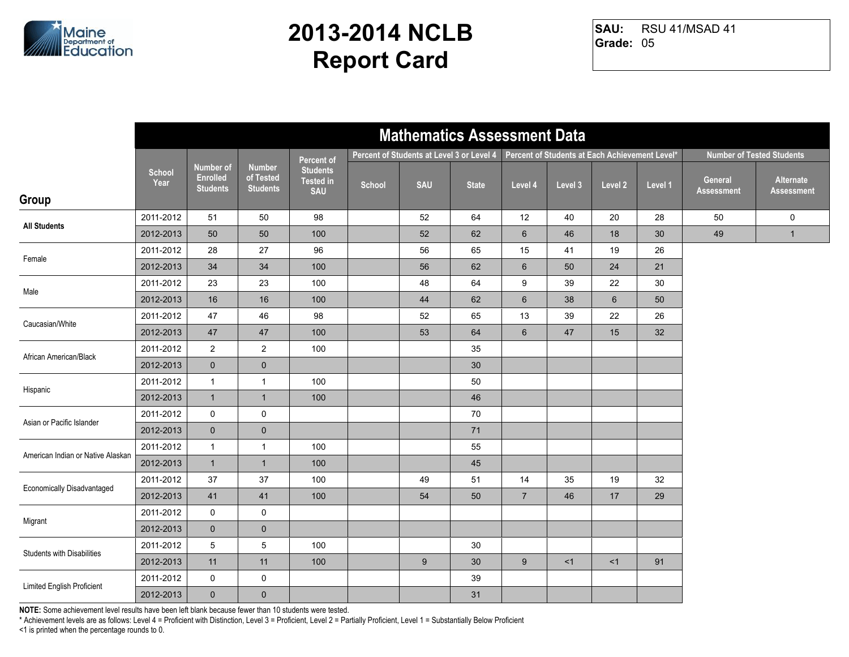

RSU 41/MSAD 41 **Grade:** 05 **SAU:**

|                                   |                       |                                                 |                                               |                                                   |        | <b>Mathematics Assessment Data</b>        |              |                 |                                                |                |         |                              |                                  |
|-----------------------------------|-----------------------|-------------------------------------------------|-----------------------------------------------|---------------------------------------------------|--------|-------------------------------------------|--------------|-----------------|------------------------------------------------|----------------|---------|------------------------------|----------------------------------|
|                                   |                       |                                                 |                                               | Percent of                                        |        | Percent of Students at Level 3 or Level 4 |              |                 | Percent of Students at Each Achievement Level* |                |         |                              | <b>Number of Tested Students</b> |
| Group                             | <b>School</b><br>Year | Number of<br><b>Enrolled</b><br><b>Students</b> | <b>Number</b><br>of Tested<br><b>Students</b> | <b>Students</b><br><b>Tested in</b><br><b>SAU</b> | School | <b>SAU</b>                                | <b>State</b> | Level 4         | Level 3                                        | Level 2        | Level 1 | General<br><b>Assessment</b> | Alternate<br><b>Assessment</b>   |
|                                   | 2011-2012             | 51                                              | 50                                            | 98                                                |        | 52                                        | 64           | 12              | 40                                             | 20             | 28      | 50                           | $\mathbf 0$                      |
| <b>All Students</b>               | 2012-2013             | 50                                              | 50                                            | 100                                               |        | 52                                        | 62           | $6\phantom{1}$  | 46                                             | 18             | 30      | 49                           | $\mathbf{1}$                     |
| Female                            | 2011-2012             | 28                                              | 27                                            | 96                                                |        | 56                                        | 65           | 15              | 41                                             | 19             | 26      |                              |                                  |
|                                   | 2012-2013             | 34                                              | 34                                            | 100                                               |        | 56                                        | 62           | $6\phantom{1}$  | 50                                             | 24             | 21      |                              |                                  |
| Male                              | 2011-2012             | 23                                              | 23                                            | 100                                               |        | 48                                        | 64           | 9               | 39                                             | 22             | 30      |                              |                                  |
|                                   | 2012-2013             | 16                                              | 16                                            | 100                                               |        | 44                                        | 62           | $\,6\,$         | 38                                             | $6\phantom{1}$ | 50      |                              |                                  |
| Caucasian/White                   | 2011-2012             | 47                                              | 46                                            | 98                                                |        | 52                                        | 65           | 13              | 39                                             | 22             | 26      |                              |                                  |
|                                   | 2012-2013             | $47\,$                                          | 47                                            | 100                                               |        | 53                                        | 64           | $6\phantom{.}6$ | 47                                             | 15             | 32      |                              |                                  |
| African American/Black            | 2011-2012             | $\overline{a}$                                  | $\overline{c}$                                | 100                                               |        |                                           | 35           |                 |                                                |                |         |                              |                                  |
|                                   | 2012-2013             | $\mathbf 0$                                     | $\mathbf 0$                                   |                                                   |        |                                           | 30           |                 |                                                |                |         |                              |                                  |
| Hispanic                          | 2011-2012             | $\mathbf{1}$                                    | $\mathbf{1}$                                  | 100                                               |        |                                           | 50           |                 |                                                |                |         |                              |                                  |
|                                   | 2012-2013             | $\mathbf{1}$                                    | $\mathbf{1}$                                  | 100                                               |        |                                           | 46           |                 |                                                |                |         |                              |                                  |
| Asian or Pacific Islander         | 2011-2012             | $\mathsf{O}\xspace$                             | $\mathsf 0$                                   |                                                   |        |                                           | 70           |                 |                                                |                |         |                              |                                  |
|                                   | 2012-2013             | $\overline{0}$                                  | $\pmb{0}$                                     |                                                   |        |                                           | 71           |                 |                                                |                |         |                              |                                  |
| American Indian or Native Alaskan | 2011-2012             | $\mathbf{1}$                                    | $\mathbf{1}$                                  | 100                                               |        |                                           | 55           |                 |                                                |                |         |                              |                                  |
|                                   | 2012-2013             | $\mathbf{1}$                                    | $\mathbf{1}$                                  | 100                                               |        |                                           | 45           |                 |                                                |                |         |                              |                                  |
| <b>Economically Disadvantaged</b> | 2011-2012             | 37                                              | 37                                            | 100                                               |        | 49                                        | 51           | 14              | 35                                             | 19             | 32      |                              |                                  |
|                                   | 2012-2013             | 41                                              | 41                                            | 100                                               |        | 54                                        | 50           | $\overline{7}$  | 46                                             | 17             | 29      |                              |                                  |
| Migrant                           | 2011-2012             | 0                                               | 0                                             |                                                   |        |                                           |              |                 |                                                |                |         |                              |                                  |
|                                   | 2012-2013             | $\mathbf{0}$                                    | $\mathbf 0$                                   |                                                   |        |                                           |              |                 |                                                |                |         |                              |                                  |
| <b>Students with Disabilities</b> | 2011-2012             | 5                                               | $\mathbf 5$                                   | 100                                               |        |                                           | 30           |                 |                                                |                |         |                              |                                  |
|                                   | 2012-2013             | 11                                              | 11                                            | 100                                               |        | $9\,$                                     | 30           | 9               | <1                                             | <1             | 91      |                              |                                  |
| Limited English Proficient        | 2011-2012             | 0                                               | $\pmb{0}$                                     |                                                   |        |                                           | 39           |                 |                                                |                |         |                              |                                  |
|                                   | 2012-2013             | $\overline{0}$                                  | $\pmb{0}$                                     |                                                   |        |                                           | 31           |                 |                                                |                |         |                              |                                  |

**NOTE:** Some achievement level results have been left blank because fewer than 10 students were tested.

\* Achievement levels are as follows: Level 4 = Proficient with Distinction, Level 3 = Proficient, Level 2 = Partially Proficient, Level 1 = Substantially Below Proficient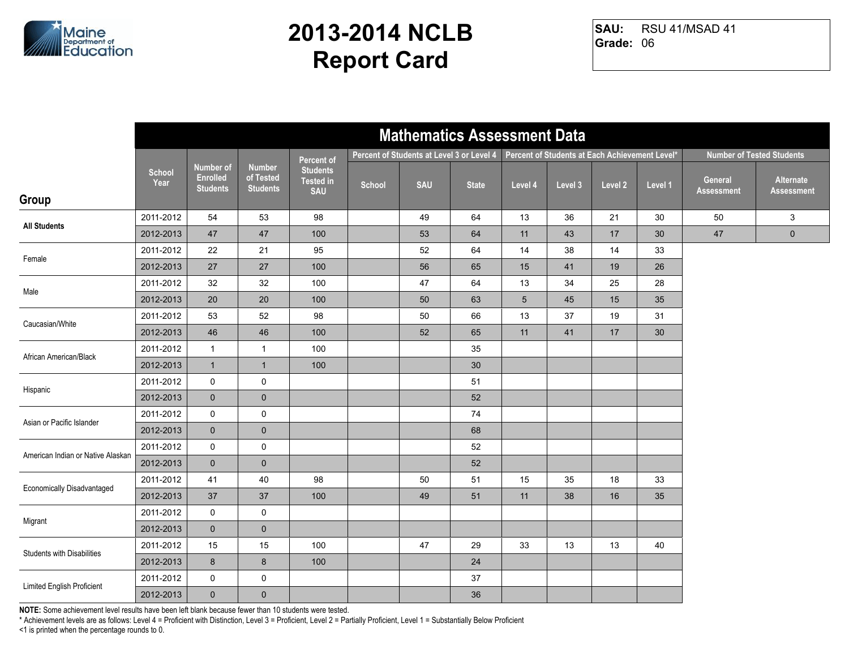

RSU 41/MSAD 41 **Grade:** 06 **SAU:**

|                                   |                       |                                                        |                                               |                                                   |        | <b>Mathematics Assessment Data</b>        |              |                 |                                                |         |                 |                              |                                  |
|-----------------------------------|-----------------------|--------------------------------------------------------|-----------------------------------------------|---------------------------------------------------|--------|-------------------------------------------|--------------|-----------------|------------------------------------------------|---------|-----------------|------------------------------|----------------------------------|
|                                   |                       |                                                        |                                               | Percent of                                        |        | Percent of Students at Level 3 or Level 4 |              |                 | Percent of Students at Each Achievement Level* |         |                 |                              | <b>Number of Tested Students</b> |
| Group                             | <b>School</b><br>Year | <b>Number of</b><br><b>Enrolled</b><br><b>Students</b> | <b>Number</b><br>of Tested<br><b>Students</b> | <b>Students</b><br><b>Tested in</b><br><b>SAU</b> | School | <b>SAU</b>                                | <b>State</b> | Level 4         | Level 3                                        | Level 2 | Level 1         | General<br><b>Assessment</b> | Alternate<br><b>Assessment</b>   |
| <b>All Students</b>               | 2011-2012             | 54                                                     | 53                                            | 98                                                |        | 49                                        | 64           | 13              | 36                                             | 21      | 30              | 50                           | 3                                |
|                                   | 2012-2013             | 47                                                     | 47                                            | 100                                               |        | 53                                        | 64           | 11              | 43                                             | 17      | 30              | 47                           | $\pmb{0}$                        |
| Female                            | 2011-2012             | 22                                                     | 21                                            | 95                                                |        | 52                                        | 64           | 14              | 38                                             | 14      | 33              |                              |                                  |
|                                   | 2012-2013             | 27                                                     | 27                                            | 100                                               |        | 56                                        | 65           | 15              | 41                                             | 19      | 26              |                              |                                  |
| Male                              | 2011-2012             | 32                                                     | 32                                            | 100                                               |        | 47                                        | 64           | 13              | 34                                             | 25      | 28              |                              |                                  |
|                                   | 2012-2013             | 20                                                     | 20                                            | 100                                               |        | 50                                        | 63           | $5\phantom{.0}$ | 45                                             | 15      | 35              |                              |                                  |
| Caucasian/White                   | 2011-2012             | 53                                                     | 52                                            | 98                                                |        | 50                                        | 66           | 13              | 37                                             | 19      | 31              |                              |                                  |
|                                   | 2012-2013             | ${\bf 46}$                                             | 46                                            | 100                                               |        | 52                                        | 65           | 11              | 41                                             | 17      | 30 <sup>°</sup> |                              |                                  |
| African American/Black            | 2011-2012             | $\mathbf{1}$                                           | $\mathbf{1}$                                  | 100                                               |        |                                           | 35           |                 |                                                |         |                 |                              |                                  |
|                                   | 2012-2013             | $\mathbf{1}$                                           | $\mathbf{1}$                                  | 100                                               |        |                                           | 30           |                 |                                                |         |                 |                              |                                  |
| Hispanic                          | 2011-2012             | 0                                                      | $\pmb{0}$                                     |                                                   |        |                                           | 51           |                 |                                                |         |                 |                              |                                  |
|                                   | 2012-2013             | $\mathbf 0$                                            | $\pmb{0}$                                     |                                                   |        |                                           | 52           |                 |                                                |         |                 |                              |                                  |
| Asian or Pacific Islander         | 2011-2012             | 0                                                      | $\mathbf 0$                                   |                                                   |        |                                           | 74           |                 |                                                |         |                 |                              |                                  |
|                                   | 2012-2013             | $\mathbf 0$                                            | $\pmb{0}$                                     |                                                   |        |                                           | 68           |                 |                                                |         |                 |                              |                                  |
| American Indian or Native Alaskan | 2011-2012             | 0                                                      | $\mathbf 0$                                   |                                                   |        |                                           | 52           |                 |                                                |         |                 |                              |                                  |
|                                   | 2012-2013             | $\mathbf 0$                                            | $\mathbf 0$                                   |                                                   |        |                                           | 52           |                 |                                                |         |                 |                              |                                  |
| <b>Economically Disadvantaged</b> | 2011-2012             | 41                                                     | 40                                            | 98                                                |        | 50                                        | 51           | 15              | 35                                             | 18      | 33              |                              |                                  |
|                                   | 2012-2013             | 37                                                     | 37                                            | 100                                               |        | 49                                        | 51           | 11              | 38                                             | 16      | 35              |                              |                                  |
| Migrant                           | 2011-2012             | 0                                                      | $\mathsf 0$                                   |                                                   |        |                                           |              |                 |                                                |         |                 |                              |                                  |
|                                   | 2012-2013             | $\mathbf{0}$                                           | $\mathbf 0$                                   |                                                   |        |                                           |              |                 |                                                |         |                 |                              |                                  |
| Students with Disabilities        | 2011-2012             | 15                                                     | 15                                            | 100                                               |        | 47                                        | 29           | 33              | 13                                             | 13      | 40              |                              |                                  |
|                                   | 2012-2013             | 8                                                      | $\bf 8$                                       | 100                                               |        |                                           | 24           |                 |                                                |         |                 |                              |                                  |
| Limited English Proficient        | 2011-2012             | 0                                                      | $\pmb{0}$                                     |                                                   |        |                                           | 37           |                 |                                                |         |                 |                              |                                  |
|                                   | 2012-2013             | $\mathbf 0$                                            | $\pmb{0}$                                     |                                                   |        |                                           | 36           |                 |                                                |         |                 |                              |                                  |

**NOTE:** Some achievement level results have been left blank because fewer than 10 students were tested.

\* Achievement levels are as follows: Level 4 = Proficient with Distinction, Level 3 = Proficient, Level 2 = Partially Proficient, Level 1 = Substantially Below Proficient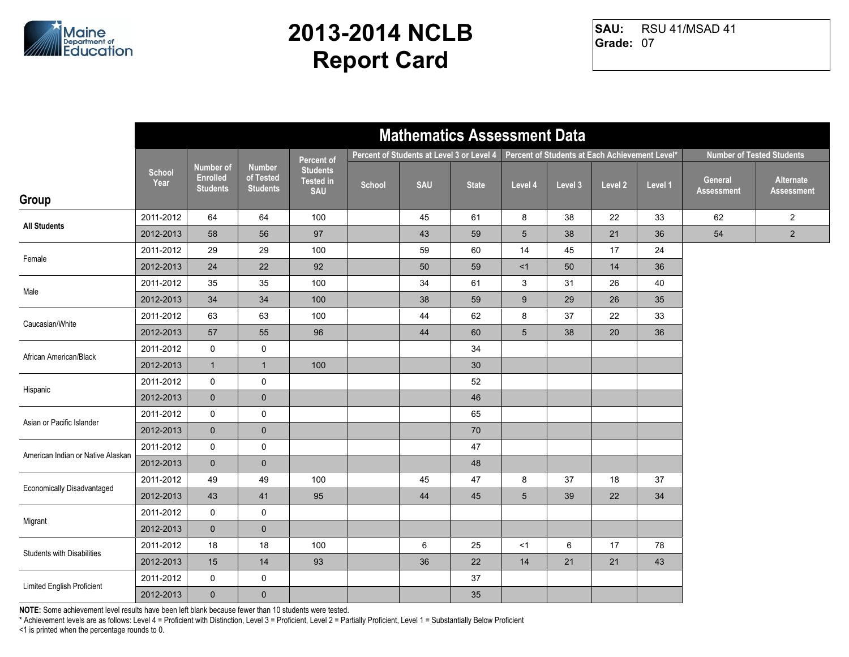

RSU 41/MSAD 41 **Grade:** 07 **SAU:**

|                                   |                       |                                                 |                                               |                                                   |        | <b>Mathematics Assessment Data</b>        |              |                 |                                                |         |         |                              |                                  |
|-----------------------------------|-----------------------|-------------------------------------------------|-----------------------------------------------|---------------------------------------------------|--------|-------------------------------------------|--------------|-----------------|------------------------------------------------|---------|---------|------------------------------|----------------------------------|
|                                   |                       |                                                 |                                               | Percent of                                        |        | Percent of Students at Level 3 or Level 4 |              |                 | Percent of Students at Each Achievement Level* |         |         |                              | <b>Number of Tested Students</b> |
| Group                             | <b>School</b><br>Year | Number of<br><b>Enrolled</b><br><b>Students</b> | <b>Number</b><br>of Tested<br><b>Students</b> | <b>Students</b><br><b>Tested in</b><br><b>SAU</b> | School | <b>SAU</b>                                | <b>State</b> | Level 4         | Level 3                                        | Level 2 | Level 1 | General<br><b>Assessment</b> | Alternate<br><b>Assessment</b>   |
| <b>All Students</b>               | 2011-2012             | 64                                              | 64                                            | 100                                               |        | 45                                        | 61           | 8               | 38                                             | 22      | 33      | 62                           | $\overline{2}$                   |
|                                   | 2012-2013             | 58                                              | 56                                            | 97                                                |        | 43                                        | 59           | $5\phantom{.0}$ | 38                                             | 21      | 36      | 54                           | $\overline{2}$                   |
| Female                            | 2011-2012             | 29                                              | 29                                            | 100                                               |        | 59                                        | 60           | 14              | 45                                             | 17      | 24      |                              |                                  |
|                                   | 2012-2013             | 24                                              | 22                                            | 92                                                |        | 50                                        | 59           | <1              | 50                                             | 14      | 36      |                              |                                  |
| Male                              | 2011-2012             | 35                                              | 35                                            | 100                                               |        | 34                                        | 61           | 3               | 31                                             | 26      | 40      |                              |                                  |
|                                   | 2012-2013             | 34                                              | 34                                            | 100                                               |        | 38                                        | 59           | $9\,$           | 29                                             | 26      | 35      |                              |                                  |
| Caucasian/White                   | 2011-2012             | 63                                              | 63                                            | 100                                               |        | 44                                        | 62           | 8               | 37                                             | 22      | 33      |                              |                                  |
|                                   | 2012-2013             | $57\,$                                          | 55                                            | 96                                                |        | 44                                        | 60           | $\sqrt{5}$      | 38                                             | 20      | 36      |                              |                                  |
| African American/Black            | 2011-2012             | 0                                               | 0                                             |                                                   |        |                                           | 34           |                 |                                                |         |         |                              |                                  |
|                                   | 2012-2013             | $\mathbf{1}$                                    | $\mathbf{1}$                                  | 100                                               |        |                                           | 30           |                 |                                                |         |         |                              |                                  |
| Hispanic                          | 2011-2012             | $\mathbf 0$                                     | $\mathbf 0$                                   |                                                   |        |                                           | 52           |                 |                                                |         |         |                              |                                  |
|                                   | 2012-2013             | $\mathbf{0}$                                    | $\pmb{0}$                                     |                                                   |        |                                           | 46           |                 |                                                |         |         |                              |                                  |
| Asian or Pacific Islander         | 2011-2012             | $\mathsf{O}$                                    | $\pmb{0}$                                     |                                                   |        |                                           | 65           |                 |                                                |         |         |                              |                                  |
|                                   | 2012-2013             | $\overline{0}$                                  | $\pmb{0}$                                     |                                                   |        |                                           | 70           |                 |                                                |         |         |                              |                                  |
| American Indian or Native Alaskan | 2011-2012             | $\mathsf{O}$                                    | 0                                             |                                                   |        |                                           | 47           |                 |                                                |         |         |                              |                                  |
|                                   | 2012-2013             | $\mathbf{0}$                                    | $\mathbf 0$                                   |                                                   |        |                                           | 48           |                 |                                                |         |         |                              |                                  |
| <b>Economically Disadvantaged</b> | 2011-2012             | 49                                              | 49                                            | 100                                               |        | 45                                        | 47           | 8               | 37                                             | 18      | 37      |                              |                                  |
|                                   | 2012-2013             | 43                                              | 41                                            | 95                                                |        | 44                                        | 45           | $5\phantom{.0}$ | 39                                             | 22      | 34      |                              |                                  |
| Migrant                           | 2011-2012             | 0                                               | 0                                             |                                                   |        |                                           |              |                 |                                                |         |         |                              |                                  |
|                                   | 2012-2013             | $\mathbf{0}$                                    | $\mathbf 0$                                   |                                                   |        |                                           |              |                 |                                                |         |         |                              |                                  |
| <b>Students with Disabilities</b> | 2011-2012             | 18                                              | 18                                            | 100                                               |        | 6                                         | 25           | <1              | 6                                              | 17      | 78      |                              |                                  |
|                                   | 2012-2013             | 15                                              | 14                                            | 93                                                |        | 36                                        | 22           | 14              | 21                                             | 21      | 43      |                              |                                  |
| Limited English Proficient        | 2011-2012             | 0                                               | $\pmb{0}$                                     |                                                   |        |                                           | 37           |                 |                                                |         |         |                              |                                  |
|                                   | 2012-2013             | $\overline{0}$                                  | $\pmb{0}$                                     |                                                   |        |                                           | 35           |                 |                                                |         |         |                              |                                  |

**NOTE:** Some achievement level results have been left blank because fewer than 10 students were tested.

\* Achievement levels are as follows: Level 4 = Proficient with Distinction, Level 3 = Proficient, Level 2 = Partially Proficient, Level 1 = Substantially Below Proficient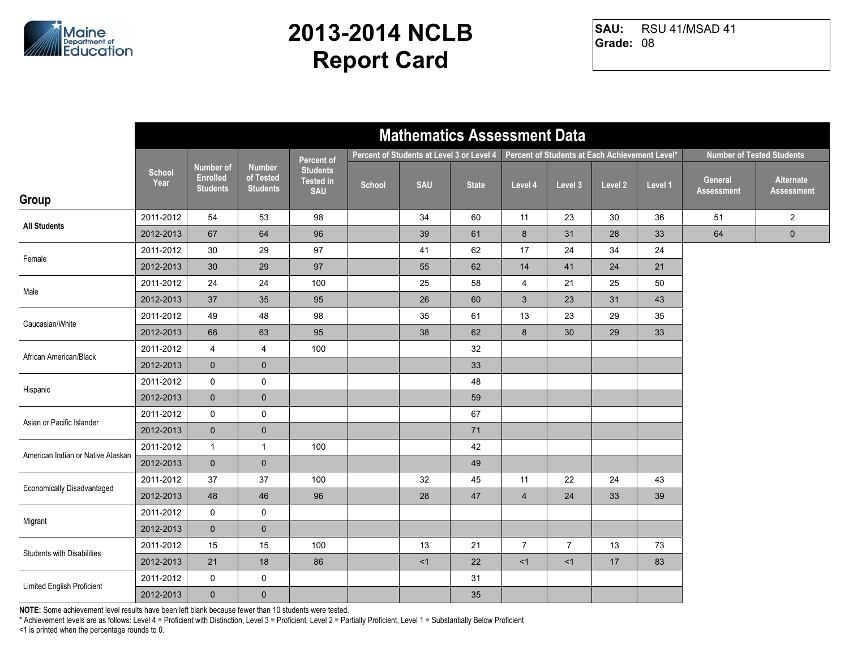

RSU 41/MSAD 41 **Grade:** 08 **SAU:**

|                                   | <b>Mathematics Assessment Data</b> |                                                        |                                               |                                                   |        |                                           |              |                |                                                |         |         |                              |                                  |
|-----------------------------------|------------------------------------|--------------------------------------------------------|-----------------------------------------------|---------------------------------------------------|--------|-------------------------------------------|--------------|----------------|------------------------------------------------|---------|---------|------------------------------|----------------------------------|
|                                   |                                    |                                                        |                                               | Percent of                                        |        | Percent of Students at Level 3 or Level 4 |              |                | Percent of Students at Each Achievement Level* |         |         |                              | <b>Number of Tested Students</b> |
| Group                             | <b>School</b><br>Year              | <b>Number of</b><br><b>Enrolled</b><br><b>Students</b> | <b>Number</b><br>of Tested<br><b>Students</b> | <b>Students</b><br><b>Tested in</b><br><b>SAU</b> | School | <b>SAU</b>                                | <b>State</b> | Level 4        | Level 3                                        | Level 2 | Level 1 | General<br><b>Assessment</b> | Alternate<br><b>Assessment</b>   |
|                                   | 2011-2012                          | 54                                                     | 53                                            | 98                                                |        | 34                                        | 60           | 11             | 23                                             | 30      | 36      | 51                           | $\overline{2}$                   |
| <b>All Students</b>               | 2012-2013                          | 67                                                     | 64                                            | 96                                                |        | 39                                        | 61           | $8\phantom{1}$ | 31                                             | 28      | 33      | 64                           | $\pmb{0}$                        |
|                                   | 2011-2012                          | 30                                                     | 29                                            | 97                                                |        | 41                                        | 62           | 17             | 24                                             | 34      | 24      |                              |                                  |
| Female                            | 2012-2013                          | $30\,$                                                 | 29                                            | 97                                                |        | 55                                        | 62           | 14             | 41                                             | 24      | 21      |                              |                                  |
| Male                              | 2011-2012                          | 24                                                     | 24                                            | 100                                               |        | 25                                        | 58           | $\overline{4}$ | 21                                             | 25      | 50      |                              |                                  |
|                                   | 2012-2013                          | 37                                                     | 35                                            | 95                                                |        | 26                                        | 60           | $\mathbf{3}$   | 23                                             | 31      | 43      |                              |                                  |
| Caucasian/White                   | 2011-2012                          | 49                                                     | 48                                            | 98                                                |        | 35                                        | 61           | 13             | 23                                             | 29      | 35      |                              |                                  |
|                                   | 2012-2013                          | 66                                                     | 63                                            | 95                                                |        | 38                                        | 62           | $\bf 8$        | 30                                             | 29      | 33      |                              |                                  |
| African American/Black            | 2011-2012                          | 4                                                      | 4                                             | 100                                               |        |                                           | 32           |                |                                                |         |         |                              |                                  |
|                                   | 2012-2013                          | $\mathbf{0}$                                           | $\mathbf 0$                                   |                                                   |        |                                           | 33           |                |                                                |         |         |                              |                                  |
| Hispanic                          | 2011-2012                          | $\mathsf{O}$                                           | $\mathsf 0$                                   |                                                   |        |                                           | 48           |                |                                                |         |         |                              |                                  |
|                                   | 2012-2013                          | $\mathbf{0}$                                           | $\pmb{0}$                                     |                                                   |        |                                           | 59           |                |                                                |         |         |                              |                                  |
| Asian or Pacific Islander         | 2011-2012                          | $\mathsf{O}$                                           | $\mathbf 0$                                   |                                                   |        |                                           | 67           |                |                                                |         |         |                              |                                  |
|                                   | 2012-2013                          | $\mathbf 0$                                            | $\pmb{0}$                                     |                                                   |        |                                           | 71           |                |                                                |         |         |                              |                                  |
| American Indian or Native Alaskan | 2011-2012                          | $\mathbf{1}$                                           | $\mathbf{1}$                                  | 100                                               |        |                                           | 42           |                |                                                |         |         |                              |                                  |
|                                   | 2012-2013                          | $\mathbf{0}$                                           | $\pmb{0}$                                     |                                                   |        |                                           | 49           |                |                                                |         |         |                              |                                  |
| <b>Economically Disadvantaged</b> | 2011-2012                          | 37                                                     | 37                                            | 100                                               |        | 32                                        | 45           | 11             | 22                                             | 24      | 43      |                              |                                  |
|                                   | 2012-2013                          | 48                                                     | 46                                            | 96                                                |        | 28                                        | 47           | $\overline{4}$ | 24                                             | 33      | 39      |                              |                                  |
| Migrant                           | 2011-2012                          | $\mathsf{O}$                                           | 0                                             |                                                   |        |                                           |              |                |                                                |         |         |                              |                                  |
|                                   | 2012-2013                          | $\mathbf{0}$                                           | $\mathbf 0$                                   |                                                   |        |                                           |              |                |                                                |         |         |                              |                                  |
| <b>Students with Disabilities</b> | 2011-2012                          | 15                                                     | 15                                            | 100                                               |        | 13                                        | 21           | $\overline{7}$ | $\overline{7}$                                 | 13      | 73      |                              |                                  |
|                                   | 2012-2013                          | 21                                                     | 18                                            | 86                                                |        | < 1                                       | 22           | <1             | <1                                             | 17      | 83      |                              |                                  |
| Limited English Proficient        | 2011-2012                          | 0                                                      | $\pmb{0}$                                     |                                                   |        |                                           | 31           |                |                                                |         |         |                              |                                  |
|                                   | 2012-2013                          | $\overline{0}$                                         | $\pmb{0}$                                     |                                                   |        |                                           | 35           |                |                                                |         |         |                              |                                  |

**NOTE:** Some achievement level results have been left blank because fewer than 10 students were tested.

\* Achievement levels are as follows: Level 4 = Proficient with Distinction, Level 3 = Proficient, Level 2 = Partially Proficient, Level 1 = Substantially Below Proficient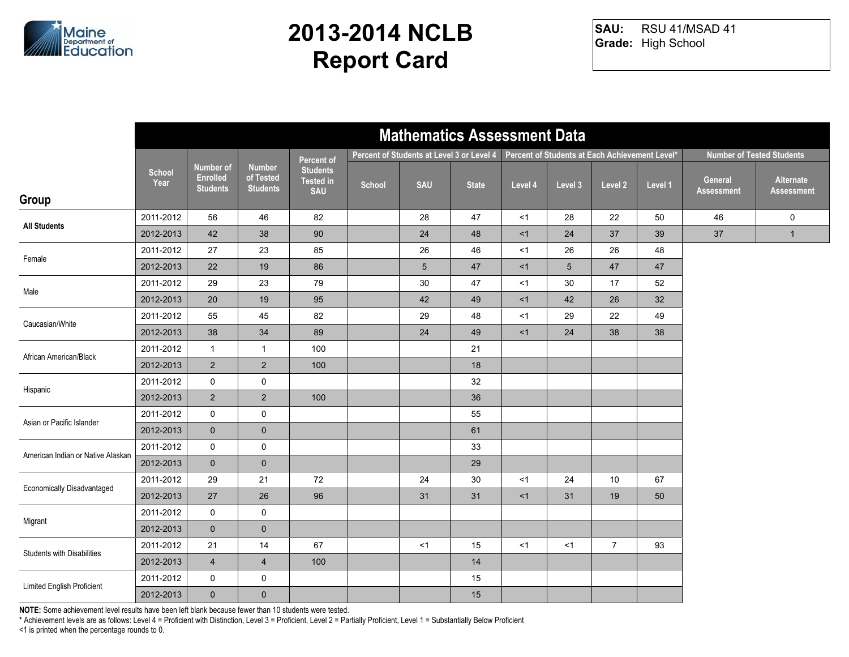

RSU 41/MSAD 41 **Grade:** High School **SAU:**

|                                   | <b>Mathematics Assessment Data</b> |                                                        |                                               |                                                   |                                                                                             |                 |              |         |         |                |         |                              |                                  |
|-----------------------------------|------------------------------------|--------------------------------------------------------|-----------------------------------------------|---------------------------------------------------|---------------------------------------------------------------------------------------------|-----------------|--------------|---------|---------|----------------|---------|------------------------------|----------------------------------|
|                                   |                                    |                                                        |                                               | Percent of                                        | Percent of Students at Each Achievement Level*<br>Percent of Students at Level 3 or Level 4 |                 |              |         |         |                |         |                              | <b>Number of Tested Students</b> |
| Group                             | School<br>Year                     | <b>Number of</b><br><b>Enrolled</b><br><b>Students</b> | <b>Number</b><br>of Tested<br><b>Students</b> | <b>Students</b><br><b>Tested in</b><br><b>SAU</b> | School                                                                                      | <b>SAU</b>      | <b>State</b> | Level 4 | Level 3 | Level 2        | Level 1 | General<br><b>Assessment</b> | Alternate<br><b>Assessment</b>   |
| <b>All Students</b>               | 2011-2012                          | 56                                                     | 46                                            | 82                                                |                                                                                             | 28              | 47           | <1      | 28      | 22             | 50      | 46                           | $\mathbf 0$                      |
|                                   | 2012-2013                          | 42                                                     | 38                                            | 90                                                |                                                                                             | 24              | 48           | <1      | 24      | 37             | 39      | 37                           | $\mathbf{1}$                     |
| Female                            | 2011-2012                          | 27                                                     | 23                                            | 85                                                |                                                                                             | 26              | 46           | $<$ 1   | 26      | 26             | 48      |                              |                                  |
|                                   | 2012-2013                          | 22                                                     | 19                                            | 86                                                |                                                                                             | $5\phantom{.0}$ | 47           | <1      | 5       | 47             | 47      |                              |                                  |
| Male                              | 2011-2012                          | 29                                                     | 23                                            | 79                                                |                                                                                             | 30              | 47           | <1      | 30      | 17             | 52      |                              |                                  |
|                                   | 2012-2013                          | 20                                                     | 19                                            | 95                                                |                                                                                             | 42              | 49           | <1      | 42      | 26             | 32      |                              |                                  |
| Caucasian/White                   | 2011-2012                          | 55                                                     | 45                                            | 82                                                |                                                                                             | 29              | 48           | $<$ 1   | 29      | 22             | 49      |                              |                                  |
|                                   | 2012-2013                          | 38                                                     | $34\,$                                        | 89                                                |                                                                                             | 24              | 49           | <1      | 24      | 38             | 38      |                              |                                  |
| African American/Black            | 2011-2012                          | $\mathbf{1}$                                           | $\mathbf{1}$                                  | 100                                               |                                                                                             |                 | 21           |         |         |                |         |                              |                                  |
|                                   | 2012-2013                          | $2^{\circ}$                                            | $\sqrt{2}$                                    | 100                                               |                                                                                             |                 | 18           |         |         |                |         |                              |                                  |
| Hispanic                          | 2011-2012                          | $\mathbf 0$                                            | 0                                             |                                                   |                                                                                             |                 | 32           |         |         |                |         |                              |                                  |
|                                   | 2012-2013                          | $\overline{2}$                                         | $\overline{2}$                                | 100                                               |                                                                                             |                 | 36           |         |         |                |         |                              |                                  |
| Asian or Pacific Islander         | 2011-2012                          | $\mathsf{O}$                                           | $\mathsf{O}\xspace$                           |                                                   |                                                                                             |                 | 55           |         |         |                |         |                              |                                  |
|                                   | 2012-2013                          | $\mathbf 0$                                            | $\pmb{0}$                                     |                                                   |                                                                                             |                 | 61           |         |         |                |         |                              |                                  |
| American Indian or Native Alaskan | 2011-2012                          | $\mathbf 0$                                            | 0                                             |                                                   |                                                                                             |                 | 33           |         |         |                |         |                              |                                  |
|                                   | 2012-2013                          | $\mathbf 0$                                            | $\mathbf 0$                                   |                                                   |                                                                                             |                 | 29           |         |         |                |         |                              |                                  |
| Economically Disadvantaged        | 2011-2012                          | 29                                                     | 21                                            | 72                                                |                                                                                             | 24              | $30\,$       | <1      | 24      | 10             | 67      |                              |                                  |
|                                   | 2012-2013                          | 27                                                     | 26                                            | 96                                                |                                                                                             | 31              | 31           | <1      | 31      | 19             | 50      |                              |                                  |
| Migrant                           | 2011-2012                          | 0                                                      | $\mathbf 0$                                   |                                                   |                                                                                             |                 |              |         |         |                |         |                              |                                  |
|                                   | 2012-2013                          | $\mathbf 0$                                            | $\mathbf 0$                                   |                                                   |                                                                                             |                 |              |         |         |                |         |                              |                                  |
| <b>Students with Disabilities</b> | 2011-2012                          | 21                                                     | 14                                            | 67                                                |                                                                                             | <1              | 15           | <1      | <1      | $\overline{7}$ | 93      |                              |                                  |
|                                   | 2012-2013                          | $\overline{4}$                                         | $\overline{\mathbf{4}}$                       | 100                                               |                                                                                             |                 | 14           |         |         |                |         |                              |                                  |
| <b>Limited English Proficient</b> | 2011-2012                          | 0                                                      | 0                                             |                                                   |                                                                                             |                 | 15           |         |         |                |         |                              |                                  |
|                                   | 2012-2013                          | $\mathbf{0}$                                           | $\pmb{0}$                                     |                                                   |                                                                                             |                 | 15           |         |         |                |         |                              |                                  |

**NOTE:** Some achievement level results have been left blank because fewer than 10 students were tested.

\* Achievement levels are as follows: Level 4 = Proficient with Distinction, Level 3 = Proficient, Level 2 = Partially Proficient, Level 1 = Substantially Below Proficient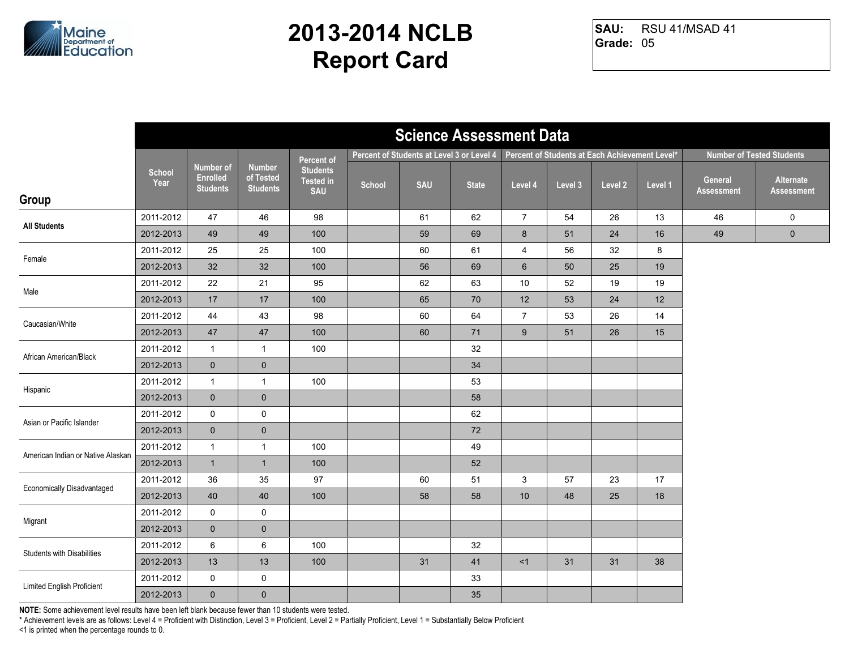

RSU 41/MSAD 41 **Grade:** 05 **SAU:**

|                                   | <b>Science Assessment Data</b> |                                                 |                                               |                                                   |        |                                           |              |                |                                                |         |         |                              |                                  |
|-----------------------------------|--------------------------------|-------------------------------------------------|-----------------------------------------------|---------------------------------------------------|--------|-------------------------------------------|--------------|----------------|------------------------------------------------|---------|---------|------------------------------|----------------------------------|
|                                   |                                |                                                 |                                               | Percent of                                        |        | Percent of Students at Level 3 or Level 4 |              |                | Percent of Students at Each Achievement Level* |         |         |                              | <b>Number of Tested Students</b> |
| Group                             | <b>School</b><br>Year          | Number of<br><b>Enrolled</b><br><b>Students</b> | <b>Number</b><br>of Tested<br><b>Students</b> | <b>Students</b><br><b>Tested in</b><br><b>SAU</b> | School | <b>SAU</b>                                | <b>State</b> | Level 4        | Level 3                                        | Level 2 | Level 1 | General<br><b>Assessment</b> | Alternate<br><b>Assessment</b>   |
|                                   | 2011-2012                      | 47                                              | 46                                            | 98                                                |        | 61                                        | 62           | $\overline{7}$ | 54                                             | 26      | 13      | 46                           | $\mathbf 0$                      |
| <b>All Students</b>               | 2012-2013                      | 49                                              | 49                                            | 100                                               |        | 59                                        | 69           | $8\phantom{1}$ | 51                                             | 24      | 16      | 49                           | $\pmb{0}$                        |
| Female                            | 2011-2012                      | 25                                              | 25                                            | 100                                               |        | 60                                        | 61           | $\overline{4}$ | 56                                             | 32      | 8       |                              |                                  |
|                                   | 2012-2013                      | 32                                              | 32                                            | 100                                               |        | 56                                        | 69           | 6              | 50                                             | 25      | 19      |                              |                                  |
| Male                              | 2011-2012                      | 22                                              | 21                                            | 95                                                |        | 62                                        | 63           | 10             | 52                                             | 19      | 19      |                              |                                  |
|                                   | 2012-2013                      | 17                                              | $17$                                          | 100                                               |        | 65                                        | 70           | 12             | 53                                             | 24      | 12      |                              |                                  |
| Caucasian/White                   | 2011-2012                      | 44                                              | 43                                            | 98                                                |        | 60                                        | 64           | $\overline{7}$ | 53                                             | 26      | 14      |                              |                                  |
|                                   | 2012-2013                      | $47\,$                                          | $47\,$                                        | 100                                               |        | 60                                        | 71           | $9\,$          | 51                                             | 26      | 15      |                              |                                  |
| African American/Black            | 2011-2012                      | $\mathbf{1}$                                    | $\mathbf{1}$                                  | 100                                               |        |                                           | 32           |                |                                                |         |         |                              |                                  |
|                                   | 2012-2013                      | $\mathbf 0$                                     | $\mathbf 0$                                   |                                                   |        |                                           | 34           |                |                                                |         |         |                              |                                  |
| Hispanic                          | 2011-2012                      | $\mathbf{1}$                                    | $\mathbf{1}$                                  | 100                                               |        |                                           | 53           |                |                                                |         |         |                              |                                  |
|                                   | 2012-2013                      | $\mathbf 0$                                     | $\pmb{0}$                                     |                                                   |        |                                           | 58           |                |                                                |         |         |                              |                                  |
| Asian or Pacific Islander         | 2011-2012                      | $\mathsf{O}\xspace$                             | $\mathsf 0$                                   |                                                   |        |                                           | 62           |                |                                                |         |         |                              |                                  |
|                                   | 2012-2013                      | $\overline{0}$                                  | $\pmb{0}$                                     |                                                   |        |                                           | 72           |                |                                                |         |         |                              |                                  |
| American Indian or Native Alaskan | 2011-2012                      | $\mathbf{1}$                                    | $\mathbf{1}$                                  | 100                                               |        |                                           | 49           |                |                                                |         |         |                              |                                  |
|                                   | 2012-2013                      | $\mathbf{1}$                                    | $\mathbf{1}$                                  | 100                                               |        |                                           | 52           |                |                                                |         |         |                              |                                  |
| <b>Economically Disadvantaged</b> | 2011-2012                      | 36                                              | 35                                            | 97                                                |        | 60                                        | 51           | $\mathbf{3}$   | 57                                             | 23      | 17      |                              |                                  |
|                                   | 2012-2013                      | 40                                              | 40                                            | 100                                               |        | 58                                        | 58           | 10             | 48                                             | 25      | 18      |                              |                                  |
| Migrant                           | 2011-2012                      | 0                                               | 0                                             |                                                   |        |                                           |              |                |                                                |         |         |                              |                                  |
|                                   | 2012-2013                      | $\mathbf{0}$                                    | $\mathbf 0$                                   |                                                   |        |                                           |              |                |                                                |         |         |                              |                                  |
| <b>Students with Disabilities</b> | 2011-2012                      | 6                                               | 6                                             | 100                                               |        |                                           | 32           |                |                                                |         |         |                              |                                  |
|                                   | 2012-2013                      | 13                                              | 13                                            | 100                                               |        | 31                                        | 41           | $<1$           | 31                                             | 31      | 38      |                              |                                  |
| Limited English Proficient        | 2011-2012                      | 0                                               | $\pmb{0}$                                     |                                                   |        |                                           | 33           |                |                                                |         |         |                              |                                  |
|                                   | 2012-2013                      | $\overline{0}$                                  | $\pmb{0}$                                     |                                                   |        |                                           | 35           |                |                                                |         |         |                              |                                  |

**NOTE:** Some achievement level results have been left blank because fewer than 10 students were tested.

\* Achievement levels are as follows: Level 4 = Proficient with Distinction, Level 3 = Proficient, Level 2 = Partially Proficient, Level 1 = Substantially Below Proficient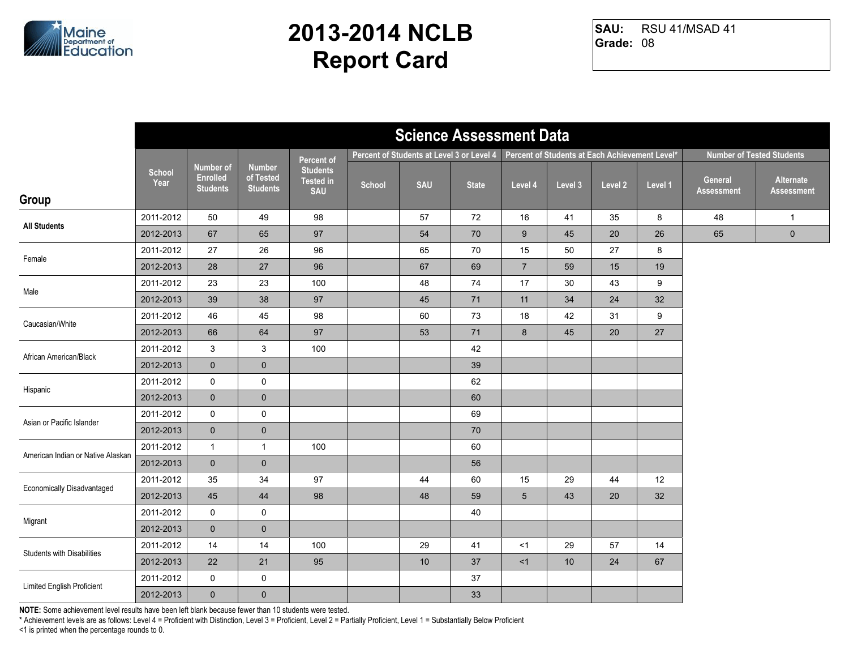

RSU 41/MSAD 41 **Grade:** 08 **SAU:**

|                                   | <b>Science Assessment Data</b> |                                                        |                                               |                                                   |                                                                                             |            |              |                |         |         |         |                              |                                  |
|-----------------------------------|--------------------------------|--------------------------------------------------------|-----------------------------------------------|---------------------------------------------------|---------------------------------------------------------------------------------------------|------------|--------------|----------------|---------|---------|---------|------------------------------|----------------------------------|
|                                   |                                |                                                        |                                               | Percent of                                        | Percent of Students at Each Achievement Level*<br>Percent of Students at Level 3 or Level 4 |            |              |                |         |         |         |                              | <b>Number of Tested Students</b> |
| Group                             | <b>School</b><br>Year          | <b>Number of</b><br><b>Enrolled</b><br><b>Students</b> | <b>Number</b><br>of Tested<br><b>Students</b> | <b>Students</b><br><b>Tested in</b><br><b>SAU</b> | School                                                                                      | <b>SAU</b> | <b>State</b> | Level 4        | Level 3 | Level 2 | Level 1 | General<br><b>Assessment</b> | Alternate<br><b>Assessment</b>   |
|                                   | 2011-2012                      | 50                                                     | 49                                            | 98                                                |                                                                                             | 57         | 72           | 16             | 41      | 35      | 8       | 48                           | $\mathbf{1}$                     |
| <b>All Students</b>               | 2012-2013                      | 67                                                     | 65                                            | 97                                                |                                                                                             | 54         | 70           | $9\,$          | 45      | 20      | 26      | 65                           | $\pmb{0}$                        |
|                                   | 2011-2012                      | 27                                                     | 26                                            | 96                                                |                                                                                             | 65         | 70           | 15             | 50      | 27      | 8       |                              |                                  |
| Female                            | 2012-2013                      | 28                                                     | 27                                            | 96                                                |                                                                                             | 67         | 69           | $\overline{7}$ | 59      | 15      | 19      |                              |                                  |
| Male                              | 2011-2012                      | 23                                                     | 23                                            | 100                                               |                                                                                             | 48         | 74           | 17             | 30      | 43      | 9       |                              |                                  |
|                                   | 2012-2013                      | 39                                                     | 38                                            | 97                                                |                                                                                             | 45         | 71           | 11             | 34      | 24      | 32      |                              |                                  |
| Caucasian/White                   | 2011-2012                      | 46                                                     | 45                                            | 98                                                |                                                                                             | 60         | 73           | 18             | 42      | 31      | 9       |                              |                                  |
|                                   | 2012-2013                      | 66                                                     | 64                                            | 97                                                |                                                                                             | 53         | 71           | 8              | 45      | 20      | 27      |                              |                                  |
| African American/Black            | 2011-2012                      | 3                                                      | 3                                             | 100                                               |                                                                                             |            | 42           |                |         |         |         |                              |                                  |
|                                   | 2012-2013                      | $\mathbf{0}$                                           | $\mathbf 0$                                   |                                                   |                                                                                             |            | 39           |                |         |         |         |                              |                                  |
| Hispanic                          | 2011-2012                      | $\mathsf{O}$                                           | $\pmb{0}$                                     |                                                   |                                                                                             |            | 62           |                |         |         |         |                              |                                  |
|                                   | 2012-2013                      | $\mathbf{0}$                                           | $\pmb{0}$                                     |                                                   |                                                                                             |            | 60           |                |         |         |         |                              |                                  |
| Asian or Pacific Islander         | 2011-2012                      | 0                                                      | $\mathbf 0$                                   |                                                   |                                                                                             |            | 69           |                |         |         |         |                              |                                  |
|                                   | 2012-2013                      | $\mathbf 0$                                            | $\pmb{0}$                                     |                                                   |                                                                                             |            | 70           |                |         |         |         |                              |                                  |
| American Indian or Native Alaskan | 2011-2012                      | $\mathbf{1}$                                           | $\mathbf{1}$                                  | 100                                               |                                                                                             |            | 60           |                |         |         |         |                              |                                  |
|                                   | 2012-2013                      | $\mathbf{0}$                                           | $\mathbf 0$                                   |                                                   |                                                                                             |            | 56           |                |         |         |         |                              |                                  |
| <b>Economically Disadvantaged</b> | 2011-2012                      | 35                                                     | 34                                            | 97                                                |                                                                                             | 44         | 60           | 15             | 29      | 44      | 12      |                              |                                  |
|                                   | 2012-2013                      | 45                                                     | 44                                            | 98                                                |                                                                                             | 48         | 59           | $\overline{5}$ | 43      | 20      | 32      |                              |                                  |
| Migrant                           | 2011-2012                      | 0                                                      | $\mathsf 0$                                   |                                                   |                                                                                             |            | 40           |                |         |         |         |                              |                                  |
|                                   | 2012-2013                      | $\mathbf{0}$                                           | $\mathbf{0}$                                  |                                                   |                                                                                             |            |              |                |         |         |         |                              |                                  |
| Students with Disabilities        | 2011-2012                      | 14                                                     | 14                                            | 100                                               |                                                                                             | 29         | 41           | <1             | 29      | 57      | 14      |                              |                                  |
|                                   | 2012-2013                      | 22                                                     | 21                                            | 95                                                |                                                                                             | 10         | 37           | <1             | 10      | 24      | 67      |                              |                                  |
| Limited English Proficient        | 2011-2012                      | 0                                                      | $\pmb{0}$                                     |                                                   |                                                                                             |            | 37           |                |         |         |         |                              |                                  |
|                                   | 2012-2013                      | $\mathbf{0}$                                           | $\pmb{0}$                                     |                                                   |                                                                                             |            | 33           |                |         |         |         |                              |                                  |

**NOTE:** Some achievement level results have been left blank because fewer than 10 students were tested.

\* Achievement levels are as follows: Level 4 = Proficient with Distinction, Level 3 = Proficient, Level 2 = Partially Proficient, Level 1 = Substantially Below Proficient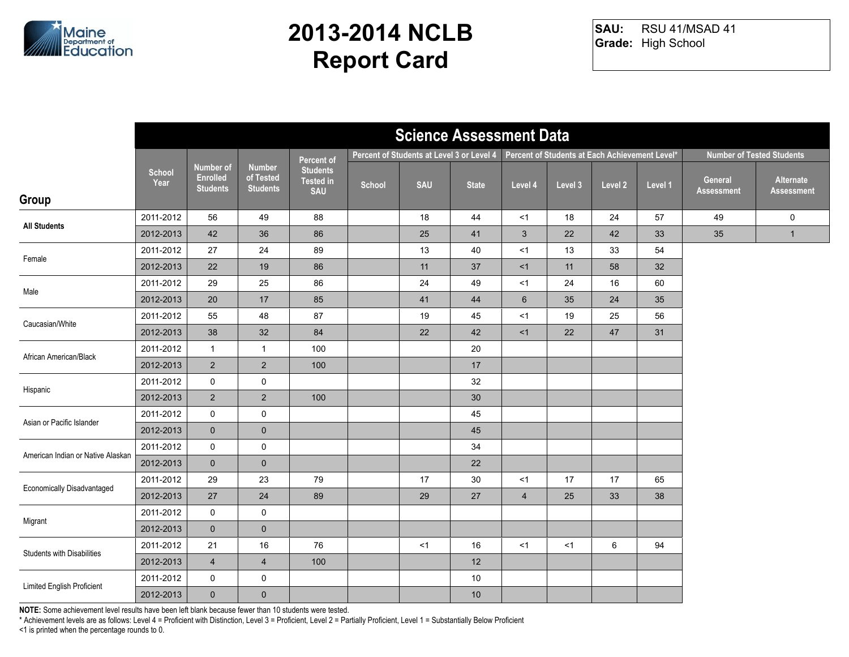

RSU 41/MSAD 41 **Grade:** High School **SAU:**

|                                   | <b>Science Assessment Data</b> |                                                        |                                               |                                                   |        |                                           |                 |                |         |                                                |         |                                  |                                |
|-----------------------------------|--------------------------------|--------------------------------------------------------|-----------------------------------------------|---------------------------------------------------|--------|-------------------------------------------|-----------------|----------------|---------|------------------------------------------------|---------|----------------------------------|--------------------------------|
|                                   |                                |                                                        |                                               | Percent of                                        |        | Percent of Students at Level 3 or Level 4 |                 |                |         | Percent of Students at Each Achievement Level* |         | <b>Number of Tested Students</b> |                                |
| Group                             | School<br>Year                 | <b>Number of</b><br><b>Enrolled</b><br><b>Students</b> | <b>Number</b><br>of Tested<br><b>Students</b> | <b>Students</b><br><b>Tested in</b><br><b>SAU</b> | School | <b>SAU</b>                                | <b>State</b>    | Level 4        | Level 3 | Level 2                                        | Level 1 | General<br><b>Assessment</b>     | Alternate<br><b>Assessment</b> |
|                                   | 2011-2012                      | 56                                                     | 49                                            | 88                                                |        | 18                                        | 44              | <1             | 18      | 24                                             | 57      | 49                               | $\mathbf 0$                    |
| <b>All Students</b>               | 2012-2013                      | 42                                                     | 36                                            | 86                                                |        | 25                                        | 41              | 3              | 22      | 42                                             | 33      | 35                               | $\mathbf{1}$                   |
| Female                            | 2011-2012                      | 27                                                     | 24                                            | 89                                                |        | $13$                                      | 40              | $<$ 1          | 13      | 33                                             | 54      |                                  |                                |
|                                   | 2012-2013                      | 22                                                     | 19                                            | 86                                                |        | 11                                        | 37              | <1             | 11      | 58                                             | 32      |                                  |                                |
| Male                              | 2011-2012                      | 29                                                     | 25                                            | 86                                                |        | 24                                        | 49              | <1             | 24      | 16                                             | 60      |                                  |                                |
|                                   | 2012-2013                      | 20                                                     | 17                                            | 85                                                |        | 41                                        | 44              | $6\phantom{1}$ | 35      | 24                                             | 35      |                                  |                                |
| Caucasian/White                   | 2011-2012                      | 55                                                     | 48                                            | 87                                                |        | 19                                        | 45              | < 1            | 19      | 25                                             | 56      |                                  |                                |
|                                   | 2012-2013                      | 38                                                     | 32                                            | 84                                                |        | 22                                        | 42              | <1             | 22      | 47                                             | 31      |                                  |                                |
| African American/Black            | 2011-2012                      | $\mathbf{1}$                                           | $\mathbf{1}$                                  | 100                                               |        |                                           | 20              |                |         |                                                |         |                                  |                                |
|                                   | 2012-2013                      | $2^{\circ}$                                            | $\overline{2}$                                | 100                                               |        |                                           | 17              |                |         |                                                |         |                                  |                                |
| Hispanic                          | 2011-2012                      | $\mathsf{O}$                                           | $\mathbf 0$                                   |                                                   |        |                                           | 32              |                |         |                                                |         |                                  |                                |
|                                   | 2012-2013                      | $2^{\circ}$                                            | $\overline{2}$                                | 100                                               |        |                                           | 30 <sup>°</sup> |                |         |                                                |         |                                  |                                |
| Asian or Pacific Islander         | 2011-2012                      | $\mathsf{O}$                                           | $\mathsf{O}\xspace$                           |                                                   |        |                                           | 45              |                |         |                                                |         |                                  |                                |
|                                   | 2012-2013                      | $\overline{0}$                                         | $\mathbf 0$                                   |                                                   |        |                                           | 45              |                |         |                                                |         |                                  |                                |
| American Indian or Native Alaskan | 2011-2012                      | $\mathbf 0$                                            | $\mathbf 0$                                   |                                                   |        |                                           | 34              |                |         |                                                |         |                                  |                                |
|                                   | 2012-2013                      | $\overline{0}$                                         | $\mathbf 0$                                   |                                                   |        |                                           | 22              |                |         |                                                |         |                                  |                                |
| Economically Disadvantaged        | 2011-2012                      | 29                                                     | 23                                            | 79                                                |        | 17                                        | 30              | <1             | 17      | 17                                             | 65      |                                  |                                |
|                                   | 2012-2013                      | 27                                                     | 24                                            | 89                                                |        | 29                                        | 27              | $\overline{4}$ | 25      | 33                                             | 38      |                                  |                                |
| Migrant                           | 2011-2012                      | $\mathsf{O}$                                           | $\mathbf 0$                                   |                                                   |        |                                           |                 |                |         |                                                |         |                                  |                                |
|                                   | 2012-2013                      | $\overline{0}$                                         | $\pmb{0}$                                     |                                                   |        |                                           |                 |                |         |                                                |         |                                  |                                |
| <b>Students with Disabilities</b> | 2011-2012                      | 21                                                     | 16                                            | 76                                                |        | < 1                                       | 16              | <1             | <1      | 6                                              | 94      |                                  |                                |
|                                   | 2012-2013                      | $\overline{4}$                                         | $\overline{4}$                                | 100                                               |        |                                           | 12              |                |         |                                                |         |                                  |                                |
| Limited English Proficient        | 2011-2012                      | 0                                                      | $\pmb{0}$                                     |                                                   |        |                                           | 10              |                |         |                                                |         |                                  |                                |
|                                   | 2012-2013                      | $\mathbf{0}$                                           | $\mathbf 0$                                   |                                                   |        |                                           | $10$            |                |         |                                                |         |                                  |                                |

**NOTE:** Some achievement level results have been left blank because fewer than 10 students were tested.

\* Achievement levels are as follows: Level 4 = Proficient with Distinction, Level 3 = Proficient, Level 2 = Partially Proficient, Level 1 = Substantially Below Proficient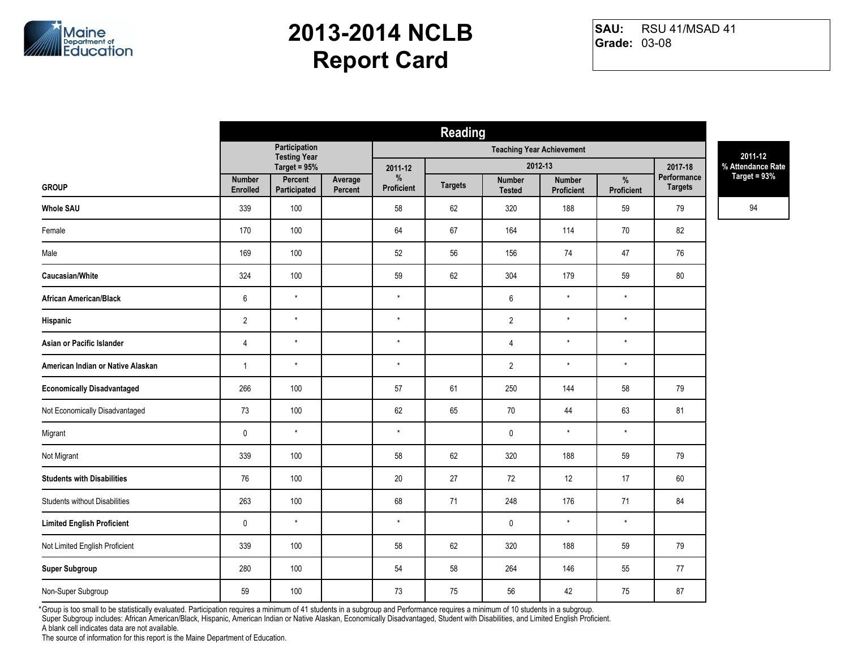

RSU 41/MSAD 41 **Grade:** 03-08 **SAU:**

|                                      | <b>Reading</b>            |                                      |                    |                   |                |                                |                                  |                 |                        |                                     |
|--------------------------------------|---------------------------|--------------------------------------|--------------------|-------------------|----------------|--------------------------------|----------------------------------|-----------------|------------------------|-------------------------------------|
|                                      |                           | Participation<br><b>Testing Year</b> |                    |                   |                |                                | <b>Teaching Year Achievement</b> |                 |                        | 2011-12                             |
|                                      |                           | Target = $95%$                       |                    | 2011-12<br>$\%$   |                |                                | 2012-13                          |                 | 2017-18<br>Performance | % Attendance Rate<br>Target = $93%$ |
| <b>GROUP</b>                         | <b>Number</b><br>Enrolled | Percent<br>Participated              | Average<br>Percent | <b>Proficient</b> | <b>Targets</b> | <b>Number</b><br><b>Tested</b> | <b>Number</b><br>Proficient      | %<br>Proficient | <b>Targets</b>         |                                     |
| <b>Whole SAU</b>                     | 339                       | 100                                  |                    | 58                | 62             | 320                            | 188                              | 59              | 79                     | 94                                  |
| Female                               | 170                       | 100                                  |                    | 64                | 67             | 164                            | 114                              | 70              | 82                     |                                     |
| Male                                 | 169                       | 100                                  |                    | 52                | 56             | 156                            | 74                               | 47              | 76                     |                                     |
| Caucasian/White                      | 324                       | 100                                  |                    | 59                | 62             | 304                            | 179                              | 59              | 80                     |                                     |
| <b>African American/Black</b>        | $\,6\,$                   | $^\star$                             |                    | $^\star$          |                | $\,6\,$                        | $\star$                          | $^\star$        |                        |                                     |
| Hispanic                             | $\overline{2}$            | $\star$                              |                    | $\star$           |                | $\overline{2}$                 | $\star$                          | $^\star$        |                        |                                     |
| Asian or Pacific Islander            | $\overline{4}$            | $^\star$                             |                    | $^\star$          |                | $\overline{4}$                 | $\star$                          | $\star$         |                        |                                     |
| American Indian or Native Alaskan    | $\mathbf{1}$              | $\star$                              |                    | $\star$           |                | $\sqrt{2}$                     | $\star$                          | $^\star$        |                        |                                     |
| <b>Economically Disadvantaged</b>    | 266                       | 100                                  |                    | 57                | 61             | 250                            | 144                              | 58              | 79                     |                                     |
| Not Economically Disadvantaged       | 73                        | 100                                  |                    | 62                | 65             | 70                             | 44                               | 63              | 81                     |                                     |
| Migrant                              | $\pmb{0}$                 | $\star$                              |                    | $\star$           |                | $\mathbf 0$                    | $\star$                          | $\star$         |                        |                                     |
| Not Migrant                          | 339                       | 100                                  |                    | 58                | 62             | 320                            | 188                              | 59              | 79                     |                                     |
| <b>Students with Disabilities</b>    | $76\,$                    | 100                                  |                    | $20\,$            | 27             | 72                             | 12                               | 17              | $60\,$                 |                                     |
| <b>Students without Disabilities</b> | 263                       | 100                                  |                    | 68                | 71             | 248                            | 176                              | 71              | 84                     |                                     |
| <b>Limited English Proficient</b>    | $\pmb{0}$                 | $\star$                              |                    | $\star$           |                | $\mathbf 0$                    | $\star$                          | $\star$         |                        |                                     |
| Not Limited English Proficient       | 339                       | 100                                  |                    | 58                | 62             | 320                            | 188                              | 59              | 79                     |                                     |
| <b>Super Subgroup</b>                | 280                       | 100                                  |                    | 54                | 58             | 264                            | 146                              | 55              | 77                     |                                     |
| Non-Super Subgroup                   | 59                        | 100                                  |                    | 73                | 75             | 56                             | 42                               | 75              | 87                     |                                     |

Group is too small to be statistically evaluated. Participation requires a minimum of 41 students in a subgroup and Performance requires a minimum of 10 students in a subgroup. \*Super Subgroup includes: African American/Black, Hispanic, American Indian or Native Alaskan, Economically Disadvantaged, Student with Disabilities, and Limited English Proficient.

A blank cell indicates data are not available.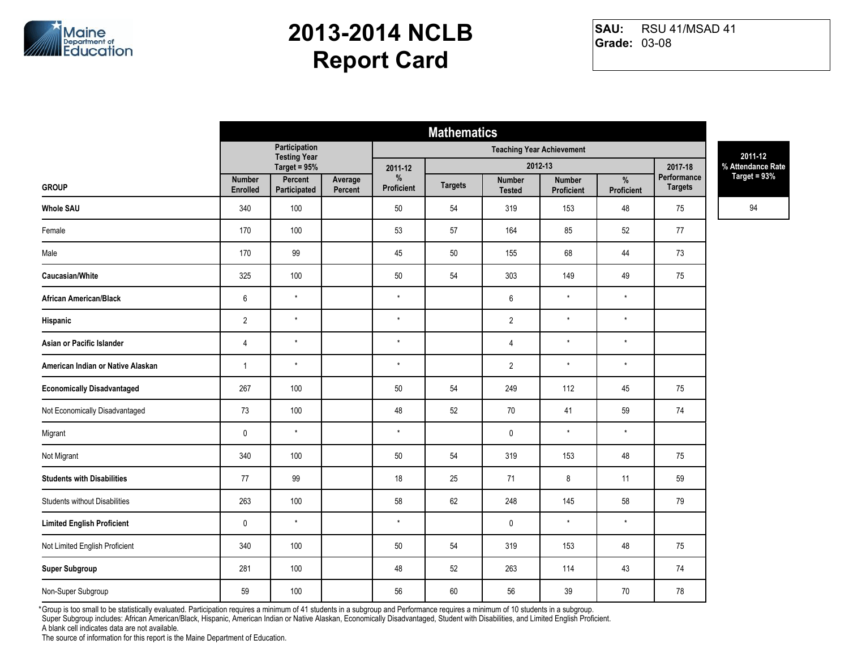

RSU 41/MSAD 41 **Grade:** 03-08 **SAU:**

|                                      | <b>Mathematics</b>        |                                      |                    |                    |                |                                |                             |                             |                               |                                     |
|--------------------------------------|---------------------------|--------------------------------------|--------------------|--------------------|----------------|--------------------------------|-----------------------------|-----------------------------|-------------------------------|-------------------------------------|
|                                      |                           | Participation<br><b>Testing Year</b> |                    |                    |                | 2011-12                        |                             |                             |                               |                                     |
|                                      |                           | Target = 95%                         |                    | 2011-12            |                |                                | 2012-13                     |                             | 2017-18                       | % Attendance Rate<br>Target = $93%$ |
| <b>GROUP</b>                         | <b>Number</b><br>Enrolled | Percent<br>Participated              | Average<br>Percent | $\%$<br>Proficient | <b>Targets</b> | <b>Number</b><br><b>Tested</b> | <b>Number</b><br>Proficient | $\frac{9}{6}$<br>Proficient | Performance<br><b>Targets</b> |                                     |
| <b>Whole SAU</b>                     | 340                       | 100                                  |                    | 50                 | 54             | 319                            | 153                         | 48                          | 75                            | 94                                  |
| Female                               | 170                       | 100                                  |                    | 53                 | 57             | 164                            | 85                          | 52                          | 77                            |                                     |
| Male                                 | 170                       | 99                                   |                    | 45                 | 50             | 155                            | 68                          | 44                          | 73                            |                                     |
| Caucasian/White                      | 325                       | 100                                  |                    | 50                 | 54             | 303                            | 149                         | 49                          | 75                            |                                     |
| African American/Black               | $\,6\,$                   | $\star$                              |                    | $\star$            |                | $\boldsymbol{6}$               | $\star$                     | $\star$                     |                               |                                     |
| Hispanic                             | $\sqrt{2}$                | $\star$                              |                    | $\star$            |                | $\overline{2}$                 | $\star$                     | $\star$                     |                               |                                     |
| Asian or Pacific Islander            | 4                         | $\star$                              |                    | $\star$            |                | $\overline{4}$                 | $\star$                     | $\star$                     |                               |                                     |
| American Indian or Native Alaskan    | $\mathbf{1}$              | $\star$                              |                    | $\star$            |                | $\overline{2}$                 | $\star$                     | $\star$                     |                               |                                     |
| <b>Economically Disadvantaged</b>    | 267                       | 100                                  |                    | 50                 | 54             | 249                            | 112                         | 45                          | 75                            |                                     |
| Not Economically Disadvantaged       | 73                        | 100                                  |                    | 48                 | 52             | $70\,$                         | 41                          | 59                          | 74                            |                                     |
| Migrant                              | $\pmb{0}$                 | $\star$                              |                    | $\star$            |                | $\pmb{0}$                      | $\star$                     | $\star$                     |                               |                                     |
| Not Migrant                          | 340                       | 100                                  |                    | 50                 | 54             | 319                            | 153                         | 48                          | 75                            |                                     |
| <b>Students with Disabilities</b>    | 77                        | 99                                   |                    | 18                 | 25             | 71                             | 8                           | 11                          | 59                            |                                     |
| <b>Students without Disabilities</b> | 263                       | 100                                  |                    | 58                 | 62             | 248                            | 145                         | 58                          | 79                            |                                     |
| <b>Limited English Proficient</b>    | $\pmb{0}$                 | $\star$                              |                    | $\star$            |                | $\mathbf 0$                    | $\star$                     | $\star$                     |                               |                                     |
| Not Limited English Proficient       | 340                       | 100                                  |                    | 50                 | 54             | 319                            | 153                         | 48                          | 75                            |                                     |
| <b>Super Subgroup</b>                | 281                       | 100                                  |                    | 48                 | 52             | 263                            | 114                         | 43                          | 74                            |                                     |
| Non-Super Subgroup                   | 59                        | 100                                  |                    | 56                 | 60             | 56                             | 39                          | 70                          | 78                            |                                     |

Group is too small to be statistically evaluated. Participation requires a minimum of 41 students in a subgroup and Performance requires a minimum of 10 students in a subgroup. \*Super Subgroup includes: African American/Black, Hispanic, American Indian or Native Alaskan, Economically Disadvantaged, Student with Disabilities, and Limited English Proficient.

A blank cell indicates data are not available.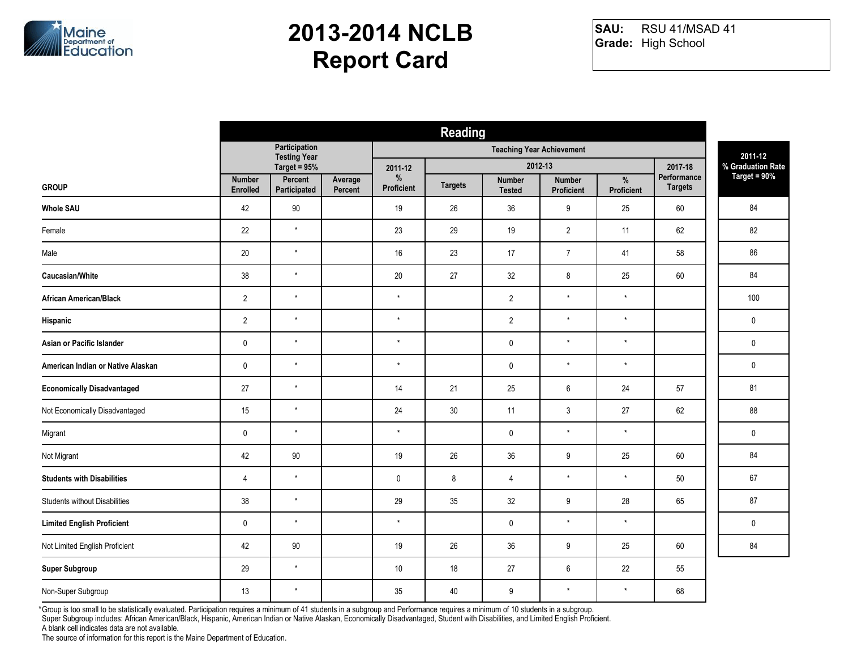

RSU 41/MSAD 41 **Grade:** High School **SAU:**

|                                      | <b>Reading</b>                   |                                      |                    |                 |                |                         |                                    |                        |                                     |             |
|--------------------------------------|----------------------------------|--------------------------------------|--------------------|-----------------|----------------|-------------------------|------------------------------------|------------------------|-------------------------------------|-------------|
|                                      |                                  | Participation<br><b>Testing Year</b> |                    |                 |                | 2011-12                 |                                    |                        |                                     |             |
|                                      |                                  | Target = 95%                         |                    | 2011-12         |                | 2012-13                 |                                    | 2017-18<br>Performance | % Graduation Rate<br>Target = $90%$ |             |
| <b>GROUP</b>                         | <b>Number</b><br><b>Enrolled</b> | Percent<br>Participated              | Average<br>Percent | %<br>Proficient | <b>Targets</b> | Number<br><b>Tested</b> | <b>Number</b><br><b>Proficient</b> | %<br>Proficient        | <b>Targets</b>                      |             |
| <b>Whole SAU</b>                     | 42                               | 90                                   |                    | 19              | 26             | 36                      | 9                                  | 25                     | 60                                  | 84          |
| Female                               | 22                               | $\star$                              |                    | 23              | 29             | 19                      | $\overline{2}$                     | 11                     | 62                                  | 82          |
| Male                                 | 20                               | $\star$                              |                    | 16              | 23             | 17                      | $\overline{7}$                     | 41                     | 58                                  | 86          |
| Caucasian/White                      | 38                               | $\star$                              |                    | $20\,$          | 27             | 32                      | 8                                  | 25                     | 60                                  | 84          |
| <b>African American/Black</b>        | $\overline{2}$                   | $\star$                              |                    | $^\star$        |                | $\overline{2}$          | $\star$                            | $^\star$               |                                     | 100         |
| Hispanic                             | $\overline{2}$                   | $\star$                              |                    | $\star$         |                | $\overline{2}$          | $\star$                            | $\star$                |                                     | $\mathbf 0$ |
| Asian or Pacific Islander            | $\pmb{0}$                        | $\star$                              |                    | $\star$         |                | $\pmb{0}$               | $\star$                            | $^\star$               |                                     | $\mathbf 0$ |
| American Indian or Native Alaskan    | $\pmb{0}$                        | $\star$                              |                    | $\star$         |                | $\pmb{0}$               | $\star$                            | $\star$                |                                     | $\mathbf 0$ |
| <b>Economically Disadvantaged</b>    | 27                               | $\star$                              |                    | 14              | 21             | 25                      | 6                                  | 24                     | 57                                  | 81          |
| Not Economically Disadvantaged       | 15                               | $\star$                              |                    | 24              | $30\,$         | 11                      | $\mathfrak{Z}$                     | 27                     | 62                                  | 88          |
| Migrant                              | $\pmb{0}$                        | $\star$                              |                    | $\star$         |                | $\pmb{0}$               | $\star$                            | $^\star$               |                                     | 0           |
| Not Migrant                          | 42                               | $90\,$                               |                    | 19              | 26             | 36                      | 9                                  | 25                     | 60                                  | 84          |
| <b>Students with Disabilities</b>    | 4                                | $\star$                              |                    | $\mathbf 0$     | 8              | $\overline{4}$          | $^\star$                           | $^\star$               | 50                                  | 67          |
| <b>Students without Disabilities</b> | 38                               | $\star$                              |                    | 29              | 35             | 32                      | 9                                  | 28                     | 65                                  | 87          |
| <b>Limited English Proficient</b>    | $\pmb{0}$                        | $\star$                              |                    | $^\star$        |                | $\pmb{0}$               | $\star$                            | $^\star$               |                                     | $\mathbf 0$ |
| Not Limited English Proficient       | 42                               | 90                                   |                    | 19              | 26             | 36                      | 9                                  | 25                     | 60                                  | 84          |
| <b>Super Subgroup</b>                | 29                               | $\star$                              |                    | 10              | 18             | 27                      | 6                                  | 22                     | 55                                  |             |
| Non-Super Subgroup                   | 13                               | $\star$                              |                    | 35              | 40             | 9                       | $\star$                            | $^\star$               | 68                                  |             |

Group is too small to be statistically evaluated. Participation requires a minimum of 41 students in a subgroup and Performance requires a minimum of 10 students in a subgroup. \*

Super Subgroup includes: African American/Black, Hispanic, American Indian or Native Alaskan, Economically Disadvantaged, Student with Disabilities, and Limited English Proficient.

A blank cell indicates data are not available.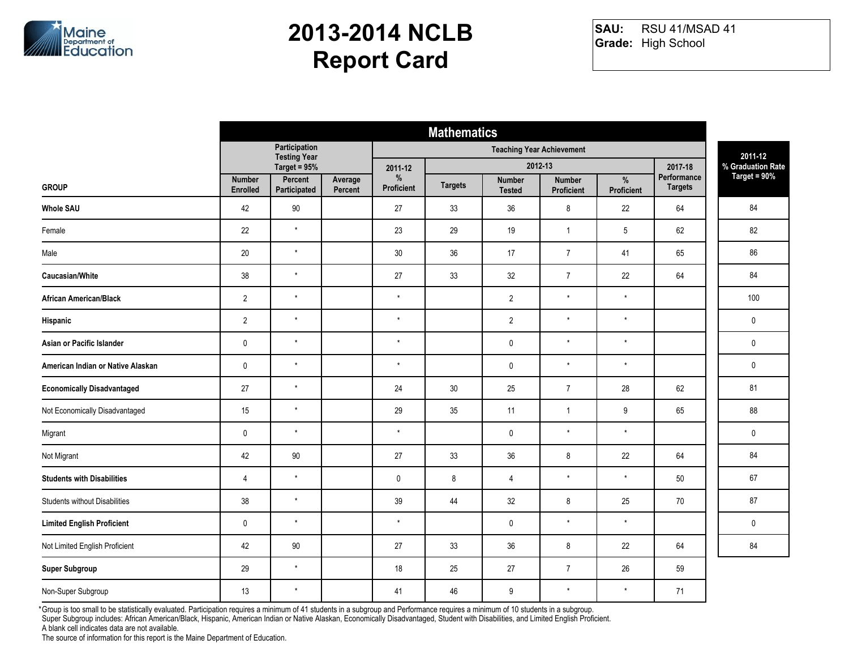

RSU 41/MSAD 41 **Grade:** High School **SAU:**

|                                      | <b>Mathematics</b>               |                                      |                    |                 |                |                         |                                    |                                     |                |             |
|--------------------------------------|----------------------------------|--------------------------------------|--------------------|-----------------|----------------|-------------------------|------------------------------------|-------------------------------------|----------------|-------------|
|                                      |                                  | Participation<br><b>Testing Year</b> |                    |                 |                | 2011-12                 |                                    |                                     |                |             |
|                                      |                                  | Target = 95%                         |                    | 2011-12         |                | 2012-13                 | 2017-18<br>Performance             | % Graduation Rate<br>Target = $90%$ |                |             |
| <b>GROUP</b>                         | <b>Number</b><br><b>Enrolled</b> | Percent<br>Participated              | Average<br>Percent | %<br>Proficient | <b>Targets</b> | Number<br><b>Tested</b> | <b>Number</b><br><b>Proficient</b> | %<br>Proficient                     | <b>Targets</b> |             |
| <b>Whole SAU</b>                     | 42                               | 90                                   |                    | 27              | 33             | 36                      | 8                                  | 22                                  | 64             | 84          |
| Female                               | 22                               | $\star$                              |                    | 23              | 29             | 19                      | $\mathbf{1}$                       | 5                                   | 62             | 82          |
| Male                                 | 20                               | $\star$                              |                    | 30              | 36             | 17                      | $\overline{7}$                     | 41                                  | 65             | 86          |
| Caucasian/White                      | 38                               | $\star$                              |                    | 27              | 33             | 32                      | $\overline{7}$                     | 22                                  | 64             | 84          |
| <b>African American/Black</b>        | $\overline{2}$                   | $\star$                              |                    | $^\star$        |                | $\overline{2}$          | $\star$                            | $^\star$                            |                | 100         |
| Hispanic                             | $\overline{2}$                   | $\star$                              |                    | $\star$         |                | $\overline{2}$          | $\star$                            | $\star$                             |                | $\mathbf 0$ |
| Asian or Pacific Islander            | $\pmb{0}$                        | $\star$                              |                    | $\star$         |                | $\pmb{0}$               | $\star$                            | $^\star$                            |                | $\mathbf 0$ |
| American Indian or Native Alaskan    | $\pmb{0}$                        | $\star$                              |                    | $\star$         |                | $\pmb{0}$               | $\star$                            | $\star$                             |                | $\mathbf 0$ |
| <b>Economically Disadvantaged</b>    | 27                               | $\star$                              |                    | 24              | 30             | 25                      | $\overline{7}$                     | 28                                  | 62             | 81          |
| Not Economically Disadvantaged       | 15                               | $\star$                              |                    | 29              | 35             | 11                      | $\mathbf{1}$                       | 9                                   | 65             | 88          |
| Migrant                              | $\pmb{0}$                        | $\star$                              |                    | $\star$         |                | $\pmb{0}$               | $\star$                            | $\star$                             |                | 0           |
| Not Migrant                          | 42                               | 90                                   |                    | 27              | 33             | 36                      | 8                                  | 22                                  | 64             | 84          |
| <b>Students with Disabilities</b>    | 4                                | $\star$                              |                    | $\mathbf 0$     | 8              | $\overline{4}$          | $^\star$                           | $^\star$                            | 50             | 67          |
| <b>Students without Disabilities</b> | 38                               | $\star$                              |                    | 39              | 44             | 32                      | 8                                  | 25                                  | 70             | 87          |
| <b>Limited English Proficient</b>    | $\pmb{0}$                        | $\star$                              |                    | $^\star$        |                | $\pmb{0}$               | $\star$                            | $^\star$                            |                | $\mathbf 0$ |
| Not Limited English Proficient       | 42                               | 90                                   |                    | 27              | 33             | 36                      | 8                                  | 22                                  | 64             | 84          |
| <b>Super Subgroup</b>                | 29                               | $\star$                              |                    | 18              | 25             | 27                      | $\overline{7}$                     | 26                                  | 59             |             |
| Non-Super Subgroup                   | 13                               | $\star$                              |                    | 41              | 46             | 9                       | $\star$                            | $^\star$                            | 71             |             |

Group is too small to be statistically evaluated. Participation requires a minimum of 41 students in a subgroup and Performance requires a minimum of 10 students in a subgroup. \*

Super Subgroup includes: African American/Black, Hispanic, American Indian or Native Alaskan, Economically Disadvantaged, Student with Disabilities, and Limited English Proficient.

A blank cell indicates data are not available.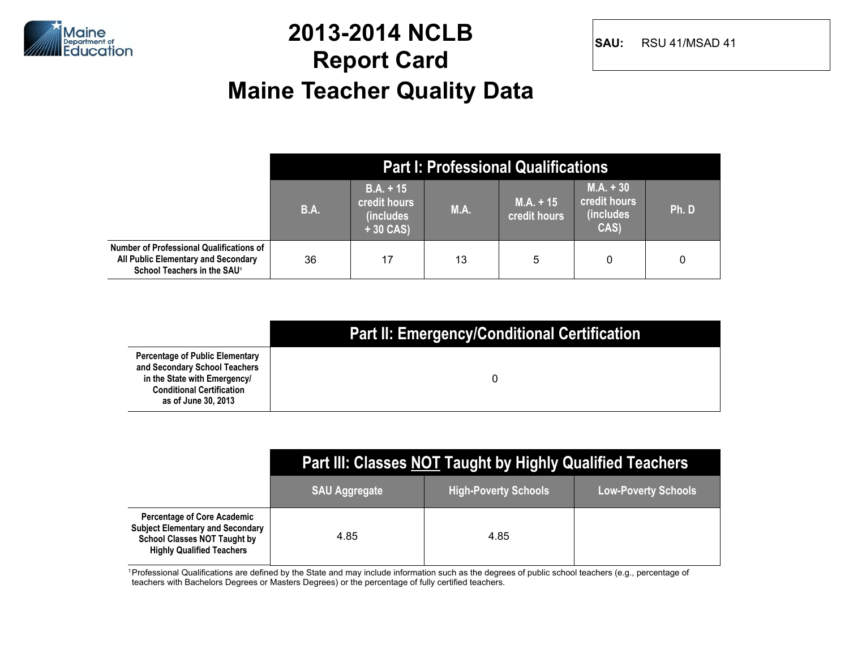

#### **2013-2014 NCLB Report Card Maine Teacher Quality Data**

**SAU:** RSU 41/MSAD 41

|                                                                                                                            |             |                                                                |             | <b>Part I: Professional Qualifications</b> |                                                   |      |
|----------------------------------------------------------------------------------------------------------------------------|-------------|----------------------------------------------------------------|-------------|--------------------------------------------|---------------------------------------------------|------|
|                                                                                                                            | <b>B.A.</b> | $B.A. + 15$<br>credit hours<br><i>(includes)</i><br>$+30$ CAS) | <b>M.A.</b> | $M.A. + 15$<br><b>credit hours</b>         | $M.A. + 30$<br>credit hours<br>(includes)<br>CAS) | Ph.D |
| Number of Professional Qualifications of<br>All Public Elementary and Secondary<br>School Teachers in the SAU <sup>1</sup> | 36          | 17                                                             | 13          | 5                                          | 0                                                 | 0    |

|                                                                                                                                                                    | <b>Part II: Emergency/Conditional Certification</b> |
|--------------------------------------------------------------------------------------------------------------------------------------------------------------------|-----------------------------------------------------|
| <b>Percentage of Public Elementary</b><br>and Secondary School Teachers<br>in the State with Emergency/<br><b>Conditional Certification</b><br>as of June 30, 2013 |                                                     |

|                                                                                                                                                          | Part III: Classes NOT Taught by Highly Qualified Teachers |                             |                            |  |  |  |  |  |  |  |
|----------------------------------------------------------------------------------------------------------------------------------------------------------|-----------------------------------------------------------|-----------------------------|----------------------------|--|--|--|--|--|--|--|
|                                                                                                                                                          | <b>SAU Aggregate</b>                                      | <b>High-Poverty Schools</b> | <b>Low-Poverty Schools</b> |  |  |  |  |  |  |  |
| <b>Percentage of Core Academic</b><br><b>Subject Elementary and Secondary</b><br><b>School Classes NOT Taught by</b><br><b>Highly Qualified Teachers</b> | 4.85                                                      | 4.85                        |                            |  |  |  |  |  |  |  |

<sup>1</sup> Professional Qualifications are defined by the State and may include information such as the degrees of public school teachers (e.g., percentage of teachers with Bachelors Degrees or Masters Degrees) or the percentage of fully certified teachers.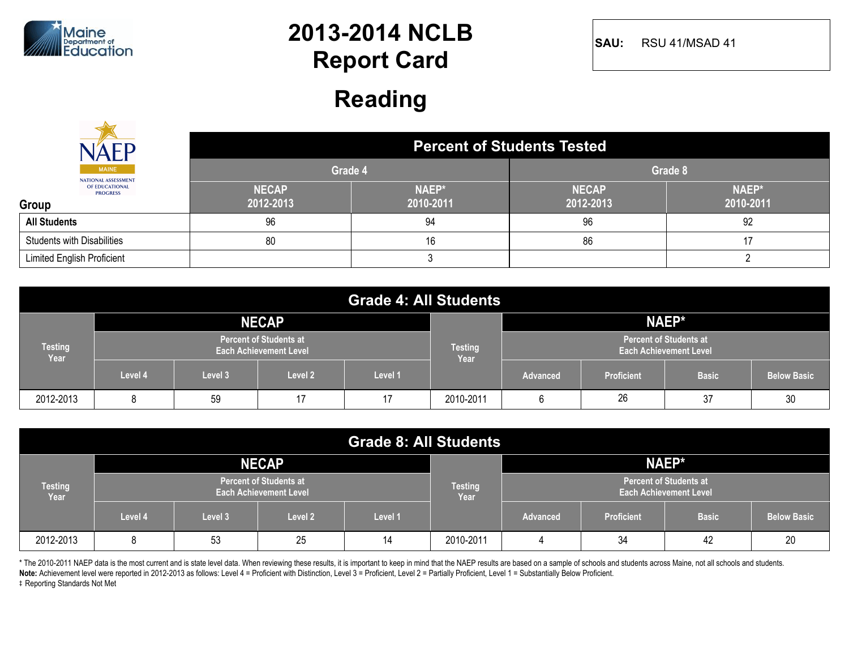

**SAU:** RSU 41/MSAD 41

#### **Reading**

|                                            | <b>Percent of Students Tested</b> |                    |                           |                    |  |  |  |  |
|--------------------------------------------|-----------------------------------|--------------------|---------------------------|--------------------|--|--|--|--|
| <b>MAINE</b><br><b>NATIONAL ASSESSMENT</b> | Grade 4                           |                    | Grade 8                   |                    |  |  |  |  |
| OF EDUCATIONAL<br><b>PROGRESS</b><br>Group | <b>NECAP</b><br>2012-2013         | NAEP*<br>2010-2011 | <b>NECAP</b><br>2012-2013 | NAEP*<br>2010-2011 |  |  |  |  |
| <b>All Students</b>                        | 96                                | 94                 | 96                        | 92                 |  |  |  |  |
| <b>Students with Disabilities</b>          | 80                                | 16                 | 86                        |                    |  |  |  |  |
| Limited English Proficient                 |                                   |                    |                           |                    |  |  |  |  |

| <b>Grade 4: All Students</b> |         |         |                                                                |         |                        |                                                                |                   |              |                    |
|------------------------------|---------|---------|----------------------------------------------------------------|---------|------------------------|----------------------------------------------------------------|-------------------|--------------|--------------------|
|                              |         |         | <b>NECAP</b>                                                   |         |                        |                                                                |                   | NAEP*        |                    |
| <b>Testing</b><br>Year       |         |         | <b>Percent of Students at</b><br><b>Each Achievement Level</b> |         | <b>Testing</b><br>Year | <b>Percent of Students at</b><br><b>Each Achievement Level</b> |                   |              |                    |
|                              | Level 4 | Level 3 | Level 2                                                        | Level 1 |                        | <b>Advanced</b>                                                | <b>Proficient</b> | <b>Basic</b> | <b>Below Basic</b> |
| 2012-2013                    | 8       | 59      | 17                                                             | 17      | 2010-2011              | 6                                                              | 26                | 37           | 30                 |

| <b>Grade 8: All Students</b> |         |                                                                |              |         |           |                                                                |                   |              |                    |
|------------------------------|---------|----------------------------------------------------------------|--------------|---------|-----------|----------------------------------------------------------------|-------------------|--------------|--------------------|
|                              |         |                                                                | <b>NECAP</b> |         |           | NAEP*                                                          |                   |              |                    |
| <b>Testing</b><br>Year       |         | <b>Percent of Students at</b><br><b>Each Achievement Level</b> |              |         |           | <b>Percent of Students at</b><br><b>Each Achievement Level</b> |                   |              |                    |
|                              | Level 4 | Level 3                                                        | Level 2      | Level 1 |           | <b>Advanced</b>                                                | <b>Proficient</b> | <b>Basic</b> | <b>Below Basic</b> |
| 2012-2013                    | 8       | 53                                                             | 25           | 14      | 2010-2011 |                                                                | 34                | 42           | 20                 |

\* The 2010-2011 NAEP data is the most current and is state level data. When reviewing these results, it is important to keep in mind that the NAEP results are based on a sample of schools and students across Maine, not all

**Note:** Achievement level were reported in 2012-2013 as follows: Level 4 = Proficient with Distinction, Level 3 = Proficient, Level 2 = Partially Proficient, Level 1 = Substantially Below Proficient.

 $\ddagger$  Reporting Standards Not Met